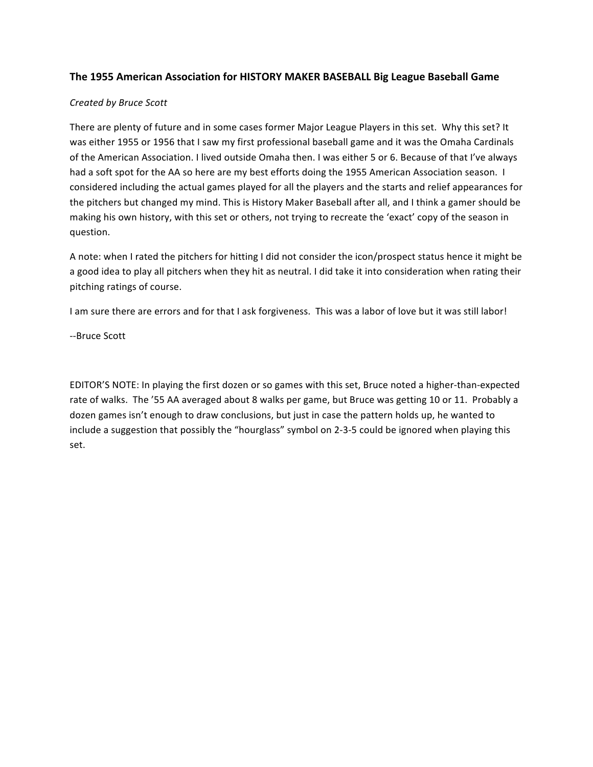## **The 1955 American Association for HISTORY MAKER BASEBALL Big League Baseball Game**

## *Created by Bruce Scott*

There are plenty of future and in some cases former Major League Players in this set. Why this set? It was either 1955 or 1956 that I saw my first professional baseball game and it was the Omaha Cardinals of the American Association. I lived outside Omaha then. I was either 5 or 6. Because of that I've always had a soft spot for the AA so here are my best efforts doing the 1955 American Association season. I considered including the actual games played for all the players and the starts and relief appearances for the pitchers but changed my mind. This is History Maker Baseball after all, and I think a gamer should be making his own history, with this set or others, not trying to recreate the 'exact' copy of the season in question.

A note: when I rated the pitchers for hitting I did not consider the icon/prospect status hence it might be a good idea to play all pitchers when they hit as neutral. I did take it into consideration when rating their pitching ratings of course.

I am sure there are errors and for that I ask forgiveness. This was a labor of love but it was still labor!

--Bruce Scott

EDITOR'S NOTE: In playing the first dozen or so games with this set, Bruce noted a higher-than-expected rate of walks. The '55 AA averaged about 8 walks per game, but Bruce was getting 10 or 11. Probably a dozen games isn't enough to draw conclusions, but just in case the pattern holds up, he wanted to include a suggestion that possibly the "hourglass" symbol on 2-3-5 could be ignored when playing this set.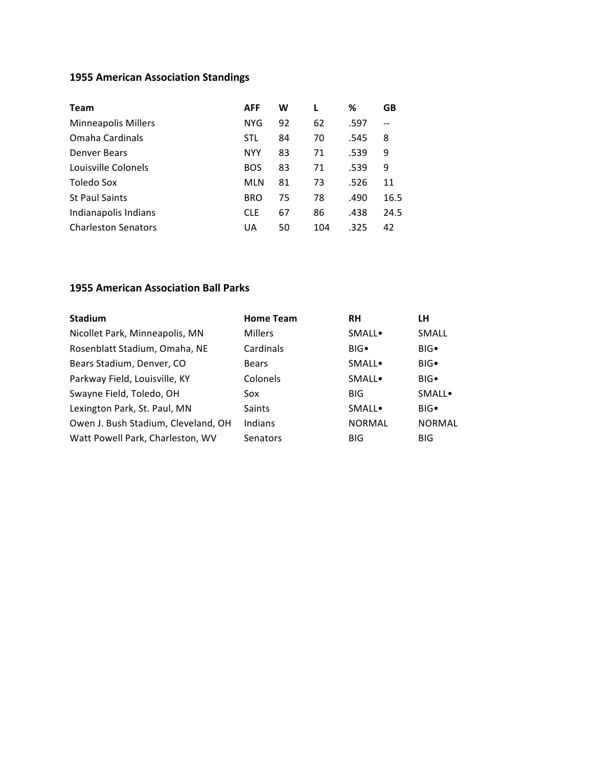# **1955 American Association Standings**

| Team                       | <b>AFF</b> | W  |     | ℅    | GB   |
|----------------------------|------------|----|-----|------|------|
| <b>Minneapolis Millers</b> | <b>NYG</b> | 92 | 62  | .597 |      |
| Omaha Cardinals            | <b>STL</b> | 84 | 70  | .545 | 8    |
| Denver Bears               | <b>NYY</b> | 83 | 71  | .539 | 9    |
| Louisville Colonels        | <b>BOS</b> | 83 | 71  | .539 | 9    |
| Toledo Sox                 | <b>MLN</b> | 81 | 73  | .526 | 11   |
| <b>St Paul Saints</b>      | <b>BRO</b> | 75 | 78  | .490 | 16.5 |
| Indianapolis Indians       | <b>CLE</b> | 67 | 86  | .438 | 24.5 |
| <b>Charleston Senators</b> | UA         | 50 | 104 | .325 | 42   |

# **1955 American Association Ball Parks**

| <b>Stadium</b>                      | <b>Home Team</b> | <b>RH</b>     | LН             |
|-------------------------------------|------------------|---------------|----------------|
| Nicollet Park, Minneapolis, MN      | <b>Millers</b>   | <b>SMALL</b>  | <b>SMALL</b>   |
| Rosenblatt Stadium, Omaha, NE       | <b>Cardinals</b> | $BIG \bullet$ | BIG            |
| Bears Stadium, Denver, CO           | <b>Bears</b>     | <b>SMALL</b>  | BIG            |
| Parkway Field, Louisville, KY       | Colonels         | <b>SMALL</b>  | BIG            |
| Swayne Field, Toledo, OH            | Sox              | <b>BIG</b>    | <b>SMALL</b> . |
| Lexington Park, St. Paul, MN        | <b>Saints</b>    | <b>SMALL</b>  | BIG            |
| Owen J. Bush Stadium, Cleveland, OH | Indians          | <b>NORMAL</b> | <b>NORMAL</b>  |
| Watt Powell Park, Charleston, WV    | Senators         | <b>BIG</b>    | <b>BIG</b>     |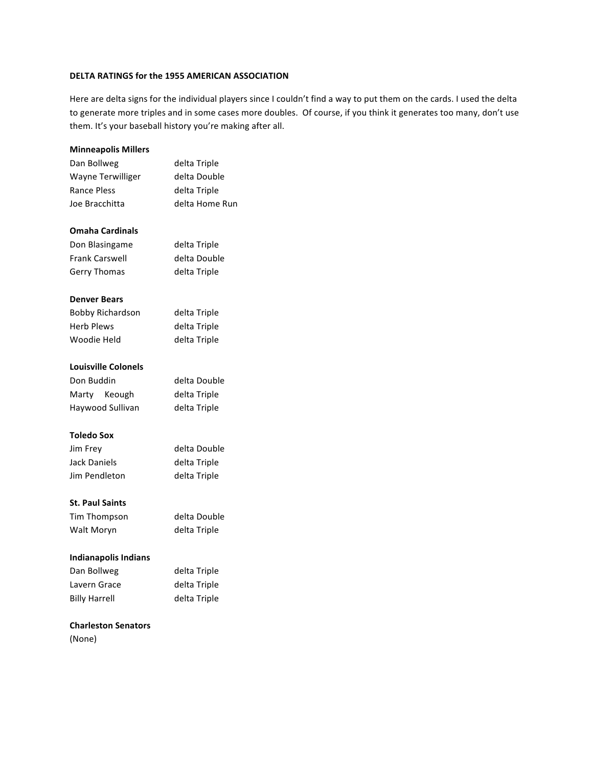#### **DELTA RATINGS for the 1955 AMERICAN ASSOCIATION**

Here are delta signs for the individual players since I couldn't find a way to put them on the cards. I used the delta to generate more triples and in some cases more doubles. Of course, if you think it generates too many, don't use them. It's your baseball history you're making after all.

# **Minneapolis Millers** Dan Bollweg delta Triple Wayne Terwilliger delta Double Rance Pless delta Triple Joe Bracchitta delta Home Run **Omaha Cardinals** Don Blasingame delta Triple Frank Carswell delta Double Gerry Thomas delta Triple **Denver Bears** Bobby Richardson delta Triple Herb Plews delta Triple Woodie Held delta Triple **Louisville Colonels** Don Buddin delta Double Marty Keough delta Triple Haywood Sullivan delta Triple **Toledo Sox** Jim Frey delta Double Jack Daniels delta Triple Jim Pendleton delta Triple

#### **St. Paul Saints**

| Tim Thompson | delta Double |
|--------------|--------------|
| Walt Moryn   | delta Triple |

#### **Indianapolis Indians**

| Dan Bollweg          | delta Triple |
|----------------------|--------------|
| Lavern Grace         | delta Triple |
| <b>Billy Harrell</b> | delta Triple |

### **Charleston Senators**

(None)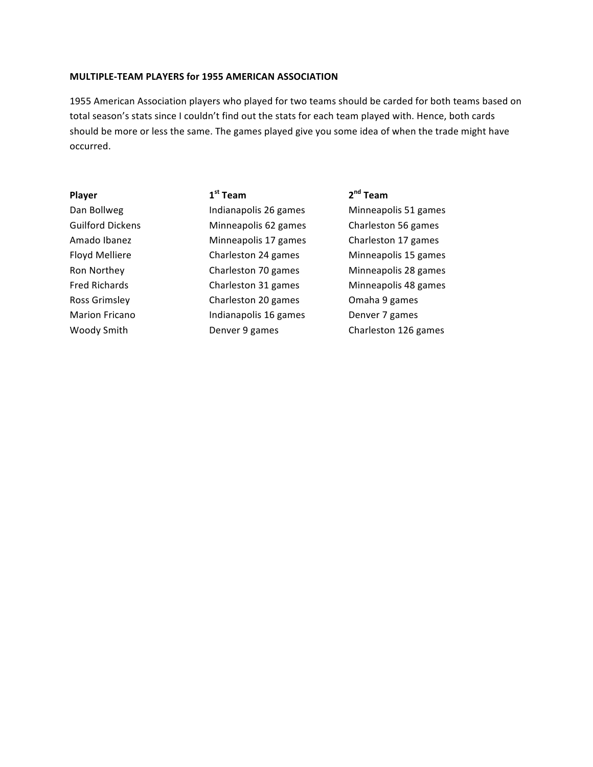### **MULTIPLE-TEAM PLAYERS for 1955 AMERICAN ASSOCIATION**

1955 American Association players who played for two teams should be carded for both teams based on total season's stats since I couldn't find out the stats for each team played with. Hence, both cards should be more or less the same. The games played give you some idea of when the trade might have occurred.

| Player                  |
|-------------------------|
| Dan Bollweg             |
| <b>Guilford Dickens</b> |
| Amado Ibanez            |
| Floyd Melliere          |
| Ron Northey             |
| Fred Richards           |
| <b>Ross Grimsley</b>    |
| <b>Marion Fricano</b>   |
| Woody Smith             |
|                         |

**Player 1st Team 2nd Team** Indianapolis 26 games Minneapolis 51 games s **Charleston 56** Sameapolis 62 games Charleston 56 games Minneapolis 17 games Charleston 17 games Charleston 24 games Minneapolis 15 games Charleston 70 games Minneapolis 28 games Charleston 31 games Minneapolis 48 games Charleston 20 games Charleston 20 games Indianapolis 16 games Denver 7 games

Denver 9 games Charleston 126 games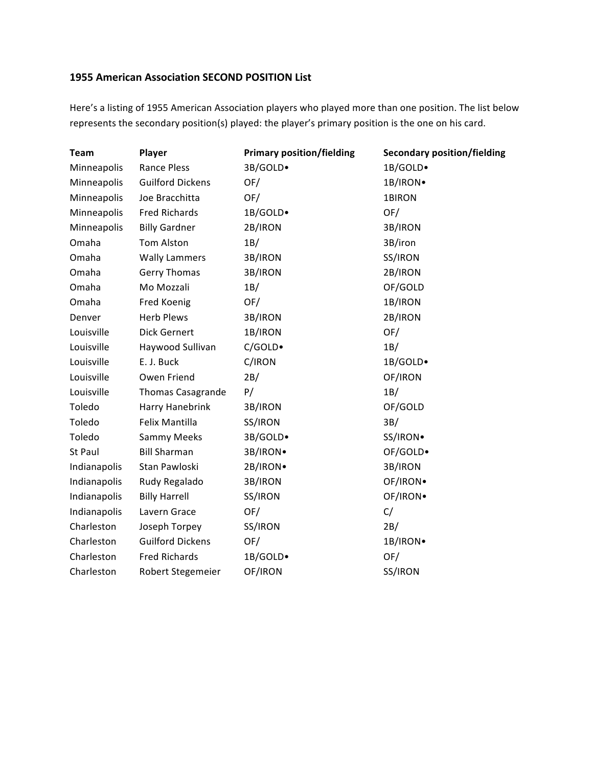## **1955 American Association SECOND POSITION List**

Here's a listing of 1955 American Association players who played more than one position. The list below represents the secondary position(s) played: the player's primary position is the one on his card.

| <b>Team</b>  | Player                   | <b>Primary position/fielding</b> | <b>Secondary position/fielding</b> |
|--------------|--------------------------|----------------------------------|------------------------------------|
| Minneapolis  | Rance Pless              | 3B/GOLD.                         | 1B/GOLD.                           |
| Minneapolis  | <b>Guilford Dickens</b>  | OF/                              | 1B/IRON.                           |
| Minneapolis  | Joe Bracchitta           | OF/                              | 1BIRON                             |
| Minneapolis  | <b>Fred Richards</b>     | 1B/GOLD.                         | OF/                                |
| Minneapolis  | <b>Billy Gardner</b>     | 2B/IRON                          | 3B/IRON                            |
| Omaha        | <b>Tom Alston</b>        | 1B/                              | 3B/iron                            |
| Omaha        | <b>Wally Lammers</b>     | 3B/IRON                          | SS/IRON                            |
| Omaha        | Gerry Thomas             | 3B/IRON                          | 2B/IRON                            |
| Omaha        | Mo Mozzali               | 1B/                              | OF/GOLD                            |
| Omaha        | Fred Koenig              | OF/                              | 1B/IRON                            |
| Denver       | <b>Herb Plews</b>        | 3B/IRON                          | 2B/IRON                            |
| Louisville   | <b>Dick Gernert</b>      | 1B/IRON                          | OF/                                |
| Louisville   | Haywood Sullivan         | C/GOLD•                          | 1B/                                |
| Louisville   | E. J. Buck               | C/IRON                           | 1B/GOLD.                           |
| Louisville   | Owen Friend              | 2B/                              | OF/IRON                            |
| Louisville   | <b>Thomas Casagrande</b> | P/                               | 1B/                                |
| Toledo       | Harry Hanebrink          | 3B/IRON                          | OF/GOLD                            |
| Toledo       | Felix Mantilla           | SS/IRON                          | 3B/                                |
| Toledo       | Sammy Meeks              | 3B/GOLD.                         | SS/IRON.                           |
| St Paul      | <b>Bill Sharman</b>      | 3B/IRON.                         | OF/GOLD.                           |
| Indianapolis | Stan Pawloski            | 2B/IRON.                         | 3B/IRON                            |
| Indianapolis | Rudy Regalado            | 3B/IRON                          | OF/IRON.                           |
| Indianapolis | <b>Billy Harrell</b>     | SS/IRON                          | OF/IRON.                           |
| Indianapolis | Lavern Grace             | OF/                              | C/                                 |
| Charleston   | Joseph Torpey            | SS/IRON                          | 2B/                                |
| Charleston   | <b>Guilford Dickens</b>  | OF/                              | 1B/IRON.                           |
| Charleston   | <b>Fred Richards</b>     | 1B/GOLD.                         | OF/                                |
| Charleston   | Robert Stegemeier        | OF/IRON                          | SS/IRON                            |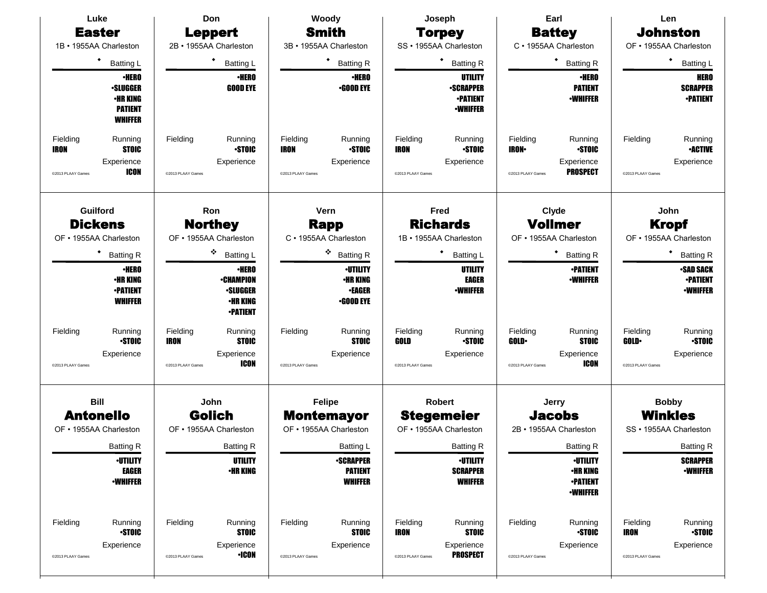| Luke                                           | Don                                            | Woody                             | Joseph                                    | Earl                                               | Len                                       |  |  |
|------------------------------------------------|------------------------------------------------|-----------------------------------|-------------------------------------------|----------------------------------------------------|-------------------------------------------|--|--|
| <b>Easter</b>                                  | <b>Leppert</b>                                 | <b>Smith</b>                      | <b>Torpey</b>                             | <b>Battey</b>                                      | <b>Johnston</b>                           |  |  |
| 1B · 1955AA Charleston                         | 2B · 1955AA Charleston                         | 3B · 1955AA Charleston            | SS · 1955AA Charleston                    | C · 1955AA Charleston                              | OF • 1955AA Charleston                    |  |  |
| ٠<br><b>Batting L</b>                          | <b>Batting L</b>                               | ٠<br><b>Batting R</b>             | <b>Batting R</b>                          | ٠<br><b>Batting R</b>                              | <b>Batting L</b>                          |  |  |
| <b>·HERO</b>                                   | <b>·HERO</b>                                   | <b>·HERO</b>                      | UTILITY                                   | <b>•HERO</b>                                       | <b>HERO</b>                               |  |  |
| <b>-SLUGGER</b><br><b>•HR KING</b>             | <b>GOOD EYE</b>                                | <b>.GOOD EYE</b>                  | <b>-SCRAPPER</b><br><b>•PATIENT</b>       | <b>PATIENT</b><br><b>•WHIFFER</b>                  | <b>SCRAPPER</b><br><b>•PATIENT</b>        |  |  |
| <b>PATIENT</b>                                 |                                                |                                   | <b>•WHIFFER</b>                           |                                                    |                                           |  |  |
| <b>WHIFFER</b>                                 |                                                |                                   |                                           |                                                    |                                           |  |  |
| Fielding<br>Running                            | Fielding<br>Running                            | Fielding<br>Running               | Fielding<br>Running                       | Fielding<br>Running                                | Fielding<br>Running                       |  |  |
| <b>STOIC</b><br>IRON                           | <b>STOIC</b>                                   | <b>STOIC</b><br>IRON              | <b>STOIC</b><br><b>IRON</b>               | <b>STOIC</b><br><b>IRON</b>                        | <b>•ACTIVE</b>                            |  |  |
| Experience<br><b>ICON</b><br>@2013 PLAAY Games | Experience<br>@2013 PLAAY Games                | Experience<br>@2013 PLAAY Games   | Experience<br>@2013 PLAAY Games           | Experience<br><b>PROSPECT</b><br>@2013 PLAAY Games | Experience<br>@2013 PLAAY Games           |  |  |
| Guilford                                       | Ron                                            | Vern                              | Fred                                      | Clyde                                              | John                                      |  |  |
| <b>Dickens</b>                                 | <b>Northey</b>                                 | Rapp                              | <b>Richards</b>                           | <b>Vollmer</b>                                     | <b>Kropf</b>                              |  |  |
| OF • 1955AA Charleston                         | OF • 1955AA Charleston                         | C · 1955AA Charleston             | 1B · 1955AA Charleston                    | OF • 1955AA Charleston                             | OF • 1955AA Charleston                    |  |  |
| ٠<br><b>Batting R</b>                          | ٠<br><b>Batting L</b>                          | ۰<br><b>Batting R</b>             | <b>Batting L</b>                          | ٠<br><b>Batting R</b>                              | <b>Batting R</b>                          |  |  |
| <b>-HERO</b>                                   | <b>·HERO</b>                                   | <b>•UTILITY</b>                   | <b>UTILITY</b>                            | <b>-PATIENT</b>                                    | <b>SAD SACK</b>                           |  |  |
| <b>•HR KING</b>                                | <b>-CHAMPION</b>                               | <b>•HR KING</b>                   | <b>EAGER</b>                              | <b>-WHIFFER</b>                                    | <b>-PATIENT</b>                           |  |  |
| <b>•PATIENT</b><br><b>WHIFFER</b>              | <b>·SLUGGER</b><br><b>•HR KING</b>             | <b>•EAGER</b><br><b>•GOOD EYE</b> | <b>•WHIFFER</b>                           |                                                    | <b>-WHIFFER</b>                           |  |  |
|                                                | <b>-PATIENT</b>                                |                                   |                                           |                                                    |                                           |  |  |
| Fielding<br>Running                            | Running<br>Fielding                            | Fielding<br>Running               | Fielding<br>Running                       | Fielding<br>Running                                | Fielding<br>Running                       |  |  |
| <b>STOIC</b>                                   | <b>IRON</b><br><b>STOIC</b>                    | <b>STOIC</b>                      | GOLD<br><b>STOIC</b>                      | <b>STOIC</b><br><b>GOLD</b>                        | <b>GOLD</b><br><b>STOIC</b>               |  |  |
| Experience<br>@2013 PLAAY Games                | Experience<br><b>ICON</b><br>@2013 PLAAY Games | Experience<br>@2013 PLAAY Games   | Experience<br>@2013 PLAAY Games           | Experience<br><b>ICON</b><br>@2013 PLAAY Games     | Experience<br>@2013 PLAAY Games           |  |  |
| <b>Bill</b>                                    | John                                           | <b>Felipe</b>                     | <b>Robert</b>                             | Jerry                                              | <b>Bobby</b>                              |  |  |
| <b>Antonello</b>                               | <b>Golich</b>                                  | <b>Montemayor</b>                 | <b>Stegemeier</b>                         | <b>Jacobs</b>                                      | <b>Winkles</b>                            |  |  |
| OF • 1955AA Charleston                         | OF • 1955AA Charleston                         | OF • 1955AA Charleston            | OF • 1955AA Charleston                    | 2B · 1955AA Charleston                             | SS · 1955AA Charleston                    |  |  |
| <b>Batting R</b>                               | <b>Batting R</b>                               | Batting L                         | <b>Batting R</b>                          | <b>Batting R</b>                                   | <b>Batting R</b>                          |  |  |
| <b>·UTILITY</b>                                | <b>UTILITY</b>                                 | <b>•SCRAPPER</b>                  | <b>-UTILITY</b>                           | <b>·UTILITY</b>                                    | <b>SCRAPPER</b>                           |  |  |
| <b>EAGER</b><br><b>-WHIFFER</b>                | <b>•HR KING</b>                                | <b>PATIENT</b><br><b>WHIFFER</b>  | <b>SCRAPPER</b><br><b>WHIFFER</b>         | <b>•HR KING</b><br><b>•PATIENT</b>                 | <b>•WHIFFER</b>                           |  |  |
|                                                |                                                |                                   |                                           | <b>-WHIFFER</b>                                    |                                           |  |  |
| Fielding<br>Running                            | Fielding<br>Running                            | Fielding<br>Running               | Fielding<br>Running                       | Fielding<br>Running                                | Fielding<br>Running                       |  |  |
| <b>STOIC</b><br>Experience                     | <b>STOIC</b><br>Experience                     | <b>STOIC</b><br>Experience        | <b>STOIC</b><br><b>IRON</b><br>Experience | <b>STOIC</b><br>Experience                         | <b>STOIC</b><br><b>IRON</b><br>Experience |  |  |
| @2013 PLAAY Games                              | <b>•ICON</b><br>@2013 PLAAY Games              | @2013 PLAAY Games                 | <b>PROSPECT</b><br>@2013 PLAAY Games      | @2013 PLAAY Games                                  | @2013 PLAAY Games                         |  |  |
|                                                |                                                |                                   |                                           |                                                    |                                           |  |  |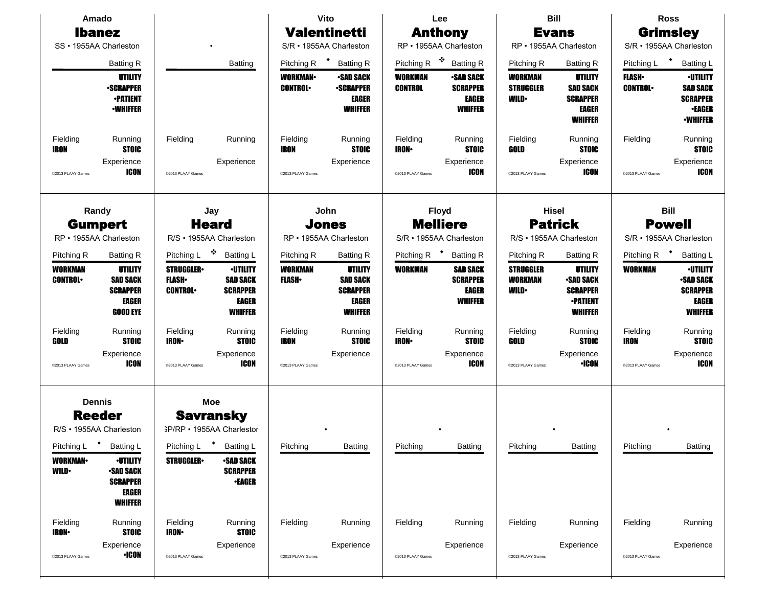| Amado<br>SS · 1955AA Charleston                                                                           | <b>Ibanez</b><br><b>Batting R</b>                                                                    |                                                                                               | Vito<br><b>Valentinetti</b><br>S/R · 1955AA Charleston<br>$\ddot{\phantom{1}}$<br>Pitching R<br><b>Batting R</b><br><b>Batting</b> |                                                |                                                                                                     | Lee<br><b>Anthony</b><br>RP · 1955AA Charleston<br>豪<br>Pitching R<br><b>Batting R</b> |                                                                                   | Pitching R                                                       | <b>Bill</b><br><b>Evans</b><br>RP · 1955AA Charleston<br><b>Batting R</b>                              | Pitching L                                              | <b>Ross</b><br><b>Grimsley</b><br>S/R · 1955AA Charleston<br><b>Batting L</b>                  |
|-----------------------------------------------------------------------------------------------------------|------------------------------------------------------------------------------------------------------|-----------------------------------------------------------------------------------------------|------------------------------------------------------------------------------------------------------------------------------------|------------------------------------------------|-----------------------------------------------------------------------------------------------------|----------------------------------------------------------------------------------------|-----------------------------------------------------------------------------------|------------------------------------------------------------------|--------------------------------------------------------------------------------------------------------|---------------------------------------------------------|------------------------------------------------------------------------------------------------|
|                                                                                                           | UTILITY<br><b>-SCRAPPER</b><br><b>-PATIENT</b><br><b>•WHIFFER</b>                                    |                                                                                               |                                                                                                                                    | <b>WORKMAN</b><br><b>CONTROL</b>               | <b>-SAD SACK</b><br><b>-SCRAPPER</b><br>EAGER<br><b>WHIFFER</b>                                     | WORKMAN<br><b>CONTROL</b>                                                              | <b>•SAD SACK</b><br><b>SCRAPPER</b><br><b>EAGER</b><br><b>WHIFFER</b>             | WORKMAN<br><b>STRUGGLER</b><br><b>WILD</b>                       | UTILITY<br><b>SAD SACK</b><br><b>SCRAPPER</b><br><b>EAGER</b><br><b>WHIFFER</b>                        | <b>FLASH</b> •<br><b>CONTROL</b>                        | <b>·UTILITY</b><br><b>SAD SACK</b><br><b>SCRAPPER</b><br><b>•EAGER</b><br><b>•WHIFFER</b>      |
| Fielding<br>IRON<br>@2013 PLAAY Games                                                                     | Running<br><b>STOIC</b><br>Experience<br>ICON                                                        | Fielding<br>@2013 PLAAY Games                                                                 | Running<br>Experience                                                                                                              | Fielding<br><b>IRON</b><br>@2013 PLAAY Games   | Running<br><b>STOIC</b><br>Experience                                                               | Fielding<br><b>IRON-</b><br>@2013 PLAAY Games                                          | Running<br><b>STOIC</b><br>Experience<br><b>ICON</b>                              | Fielding<br>GOLD<br>@2013 PLAAY Games                            | Running<br><b>STOIC</b><br>Experience<br><b>ICON</b>                                                   | Fielding<br>@2013 PLAAY Games                           | Running<br><b>STOIC</b><br>Experience<br>ICON                                                  |
|                                                                                                           | Randy<br>Jay<br><b>Gumpert</b><br><b>Heard</b><br>R/S · 1955AA Charleston<br>RP • 1955AA Charleston  |                                                                                               |                                                                                                                                    |                                                | John<br><b>Jones</b><br>RP · 1955AA Charleston                                                      |                                                                                        | <b>Floyd</b><br><b>Melliere</b><br>S/R · 1955AA Charleston                        | <b>Hisel</b><br><b>Patrick</b><br>R/S · 1955AA Charleston        |                                                                                                        | <b>Bill</b><br><b>Powell</b><br>S/R · 1955AA Charleston |                                                                                                |
| Pitching R<br><b>WORKMAN</b><br><b>CONTROL</b>                                                            | <b>Batting R</b><br><b>UTILITY</b><br><b>SAD SACK</b><br><b>SCRAPPER</b><br>EAGER<br><b>GOOD EYE</b> | Pitching L <sup>❖</sup><br><b>STRUGGLER</b><br><b>FLASH</b><br><b>CONTROL</b>                 | <b>Batting L</b><br><b>·UTILITY</b><br><b>SAD SACK</b><br><b>SCRAPPER</b><br><b>EAGER</b><br><b>WHIFFER</b>                        | Pitching R<br><b>WORKMAN</b><br><b>FLASH</b> • | <b>Batting R</b><br><b>UTILITY</b><br><b>SAD SACK</b><br><b>SCRAPPER</b><br>EAGER<br><b>WHIFFER</b> | Pitching R <sup>+</sup><br><b>WORKMAN</b>                                              | <b>Batting R</b><br><b>SAD SACK</b><br><b>SCRAPPER</b><br>EAGER<br><b>WHIFFER</b> | Pitching R<br><b>STRUGGLER</b><br><b>WORKMAN</b><br><b>WILD•</b> | <b>Batting R</b><br>UTILITY<br><b>SAD SACK</b><br><b>SCRAPPER</b><br><b>•PATIENT</b><br><b>WHIFFER</b> | Pitching R<br><b>WORKMAN</b>                            | Batting L<br><b>-UTILITY</b><br><b>-SAD SACK</b><br><b>SCRAPPER</b><br>EAGER<br><b>WHIFFER</b> |
| Fielding<br>GOLD<br>@2013 PLAAY Games                                                                     | Running<br><b>STOIC</b><br>Experience<br>ICON                                                        | Fielding<br><b>IRON</b><br>@2013 PLAAY Games                                                  | Running<br><b>STOIC</b><br>Experience<br><b>ICON</b>                                                                               | Fielding<br><b>IRON</b><br>@2013 PLAAY Games   | Running<br><b>STOIC</b><br>Experience                                                               | Fielding<br><b>IRON</b><br>@2013 PLAAY Games                                           | Running<br><b>STOIC</b><br>Experience<br><b>ICON</b>                              | Fielding<br>GOLD<br>@2013 PLAAY Games                            | Running<br><b>STOIC</b><br>Experience<br><b>·ICON</b>                                                  | Fielding<br><b>IRON</b><br>@2013 PLAAY Games            | Running<br><b>STOIC</b><br>Experience<br>ICON                                                  |
| <b>Dennis</b><br><b>Reeder</b><br>R/S · 1955AA Charleston<br>Pitching L<br><b>WORKMAN-</b><br><b>WILD</b> | <b>Batting L</b><br><b>-UTILITY</b><br><b>SAD SACK</b><br><b>SCRAPPER</b>                            | <b>Moe</b><br><b>Savransky</b><br>SP/RP • 1955AA Charlestor<br>Pitching L<br><b>STRUGGLER</b> | <b>Batting L</b><br><b>SAD SACK</b><br><b>SCRAPPER</b><br><b>•EAGER</b>                                                            | Pitching                                       | Batting                                                                                             | Pitching                                                                               | Batting                                                                           | Pitching                                                         | Batting                                                                                                | Pitching                                                | Batting                                                                                        |
| Fielding<br><b>IRON-</b><br>@2013 PLAAY Games                                                             | <b>EAGER</b><br><b>WHIFFER</b><br>Running<br><b>STOIC</b><br>Experience<br><b>•ICON</b>              | Fielding<br><b>IRON-</b><br>@2013 PLAAY Games                                                 | Running<br><b>STOIC</b><br>Experience                                                                                              | Fielding<br>@2013 PLAAY Games                  | Running<br>Experience                                                                               | Fielding<br>@2013 PLAAY Games                                                          | Running<br>Experience                                                             | Fielding<br>@2013 PLAAY Games                                    | Running<br>Experience                                                                                  | Fielding<br>@2013 PLAAY Games                           | Running<br>Experience                                                                          |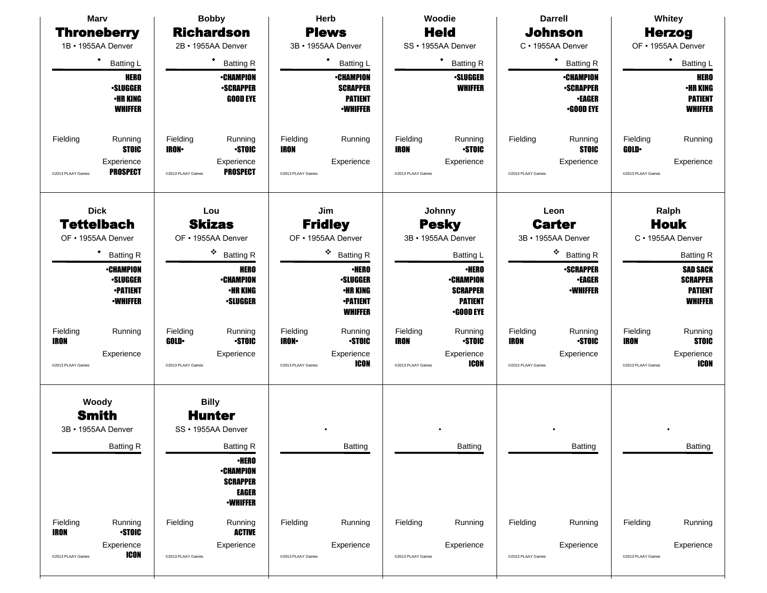| <b>Marv</b><br><b>Throneberry</b><br>1B · 1955AA Denver<br>٠<br><b>Batting L</b><br><b>HERO</b><br><b>-SLUGGER</b><br><b>•HR KING</b><br><b>WHIFFER</b>                                                                          | <b>Bobby</b><br><b>Richardson</b><br>2B · 1955AA Denver<br><b>Batting R</b><br><b>•CHAMPION</b><br><b>•SCRAPPER</b><br><b>GOOD EYE</b>                                                                                                       | Herb<br><b>Plews</b><br>3B · 1955AA Denver<br>٠<br><b>Batting L</b><br>∙CHAMPION<br><b>SCRAPPER</b><br><b>PATIENT</b><br><b>·WHIFFER</b>                                                                                                                                 | Woodie<br><b>Held</b><br>SS · 1955AA Denver<br>٠<br><b>Batting R</b><br><b>·SLUGGER</b><br><b>WHIFFER</b>                                                                                                                                                      | <b>Darrell</b><br><b>Johnson</b><br>C · 1955AA Denver<br>٠<br><b>Batting R</b><br><b>•CHAMPION</b><br><b>•SCRAPPER</b><br><b>•EAGER</b><br><b>•GOOD EYE</b>                                                           | Whitey<br><b>Herzog</b><br>OF • 1955AA Denver<br>٠<br><b>Batting L</b><br><b>HERO</b><br><b>•HR KING</b><br><b>PATIENT</b><br><b>WHIFFER</b>                                                                                                    |
|----------------------------------------------------------------------------------------------------------------------------------------------------------------------------------------------------------------------------------|----------------------------------------------------------------------------------------------------------------------------------------------------------------------------------------------------------------------------------------------|--------------------------------------------------------------------------------------------------------------------------------------------------------------------------------------------------------------------------------------------------------------------------|----------------------------------------------------------------------------------------------------------------------------------------------------------------------------------------------------------------------------------------------------------------|-----------------------------------------------------------------------------------------------------------------------------------------------------------------------------------------------------------------------|-------------------------------------------------------------------------------------------------------------------------------------------------------------------------------------------------------------------------------------------------|
| Fielding<br>Running<br><b>STOIC</b><br>Experience<br><b>PROSPECT</b><br>@2013 PLAAY Games                                                                                                                                        | Fielding<br>Running<br><b>STOIC</b><br><b>IRON</b><br>Experience<br><b>PROSPECT</b><br>@2013 PLAAY Games                                                                                                                                     | Fielding<br>Running<br><b>IRON</b><br>Experience<br>@2013 PLAAY Games                                                                                                                                                                                                    | Fielding<br>Running<br><b>STOIC</b><br><b>IRON</b><br>Experience<br>@2013 PLAAY Games                                                                                                                                                                          | Fielding<br>Running<br><b>STOIC</b><br>Experience<br>@2013 PLAAY Games                                                                                                                                                | Fielding<br>Running<br><b>GOLD</b><br>Experience<br>@2013 PLAAY Games                                                                                                                                                                           |
| <b>Dick</b><br><b>Tettelbach</b><br>OF • 1955AA Denver<br><b>Batting R</b><br><b>•CHAMPION</b><br><b>-SLUGGER</b><br><b>•PATIENT</b><br><b>-WHIFFER</b><br>Fielding<br>Running<br><b>IRON</b><br>Experience<br>@2013 PLAAY Games | Lou<br><b>Skizas</b><br>OF • 1955AA Denver<br>۰<br><b>Batting R</b><br><b>HERO</b><br><b>•CHAMPION</b><br><b>•HR KING</b><br><b>•SLUGGER</b><br>Fielding<br>Running<br><b>STOIC</b><br><b>GOLD</b><br>Experience<br>@2013 PLAAY Games        | Jim<br><b>Fridley</b><br>OF • 1955AA Denver<br>۰<br><b>Batting R</b><br><b>·HERO</b><br><b>-SLUGGER</b><br><b>•HR KING</b><br><b>•PATIENT</b><br><b>WHIFFER</b><br>Fielding<br>Running<br><b>STOIC</b><br><b>IRON-</b><br>Experience<br><b>ICON</b><br>@2013 PLAAY Games | Johnny<br><b>Pesky</b><br>3B · 1955AA Denver<br><b>Batting L</b><br><b>·HERO</b><br><b>-CHAMPION</b><br><b>SCRAPPER</b><br><b>PATIENT</b><br><b>•GOOD EYE</b><br>Fielding<br>Running<br><b>STOIC</b><br><b>IRON</b><br>Experience<br>ICON<br>@2013 PLAAY Games | Leon<br><b>Carter</b><br>3B · 1955AA Denver<br>❖<br><b>Batting R</b><br><b>•SCRAPPER</b><br><b>•EAGER</b><br><b>•WHIFFER</b><br>Fielding<br>Running<br><b>STOIC</b><br><b>IRON</b><br>Experience<br>@2013 PLAAY Games | Ralph<br><b>Houk</b><br>C · 1955AA Denver<br><b>Batting R</b><br><b>SAD SACK</b><br><b>SCRAPPER</b><br><b>PATIENT</b><br><b>WHIFFER</b><br>Fielding<br>Running<br><b>STOIC</b><br><b>IRON</b><br>Experience<br><b>ICON</b><br>@2013 PLAAY Games |
| Woody<br><b>Smith</b><br>3B • 1955AA Denver<br><b>Batting R</b><br>Fielding<br>Running<br><b>IRON</b><br><b>STOIC</b><br>Experience<br><b>ICON</b><br>@2013 PLAAY Games                                                          | <b>Billy</b><br><b>Hunter</b><br>SS · 1955AA Denver<br><b>Batting R</b><br><b>•HERO</b><br><b>•CHAMPION</b><br><b>SCRAPPER</b><br><b>EAGER</b><br><b>•WHIFFER</b><br>Fielding<br>Running<br><b>ACTIVE</b><br>Experience<br>@2013 PLAAY Games | Batting<br>Fielding<br>Running<br>Experience<br>@2013 PLAAY Games                                                                                                                                                                                                        | Batting<br>Fielding<br>Running<br>Experience<br>@2013 PLAAY Games                                                                                                                                                                                              | Batting<br>Fielding<br>Running<br>Experience<br>@2013 PLAAY Games                                                                                                                                                     | <b>Batting</b><br>Fielding<br>Running<br>Experience<br>@2013 PLAAY Games                                                                                                                                                                        |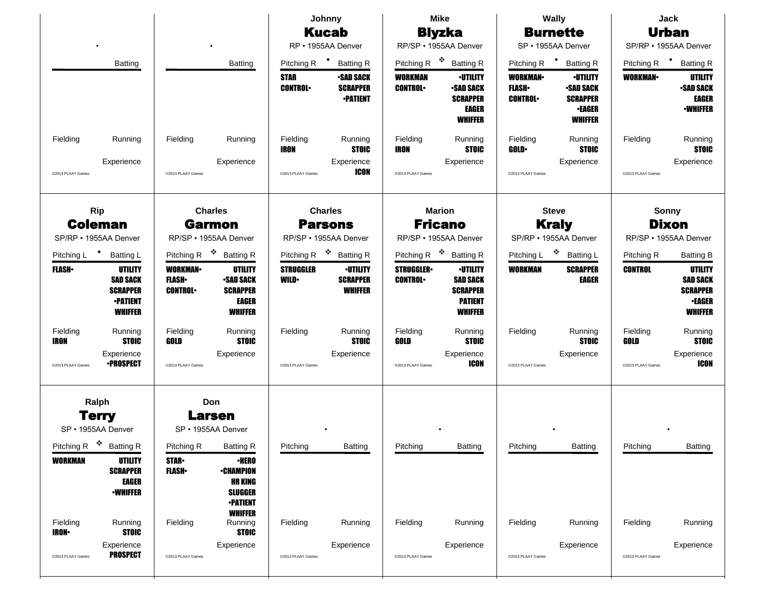|                                             |                                                                                    |                                                   |                                                                                         | Johnny                          |                                                        | <b>Mike</b>                              |                                                                                           |                                                  | <b>Wally</b>                                                                              | <b>Jack</b>           |                                                                                         |  |
|---------------------------------------------|------------------------------------------------------------------------------------|---------------------------------------------------|-----------------------------------------------------------------------------------------|---------------------------------|--------------------------------------------------------|------------------------------------------|-------------------------------------------------------------------------------------------|--------------------------------------------------|-------------------------------------------------------------------------------------------|-----------------------|-----------------------------------------------------------------------------------------|--|
|                                             |                                                                                    |                                                   |                                                                                         | <b>Kucab</b>                    |                                                        |                                          | <b>Blyzka</b>                                                                             |                                                  | <b>Burnette</b>                                                                           |                       | <b>Urban</b>                                                                            |  |
|                                             |                                                                                    |                                                   |                                                                                         |                                 | RP · 1955AA Denver                                     |                                          | RP/SP · 1955AA Denver                                                                     |                                                  | SP · 1955AA Denver                                                                        |                       | SP/RP · 1955AA Denver                                                                   |  |
|                                             | Batting                                                                            |                                                   | <b>Batting</b>                                                                          | Pitching R <sup>+</sup>         | <b>Batting R</b>                                       | Pitching R                               | 豪<br><b>Batting R</b>                                                                     | Pitching R <sup>+</sup>                          | <b>Batting R</b>                                                                          |                       | Pitching R <sup>+</sup> Batting R                                                       |  |
|                                             |                                                                                    |                                                   |                                                                                         | <b>STAR</b><br><b>CONTROL</b>   | <b>-SAD SACK</b><br><b>SCRAPPER</b><br><b>•PATIENT</b> | <b>WORKMAN</b><br><b>CONTROL</b>         | <b>•UTILITY</b><br><b>SAD SACK</b><br><b>SCRAPPER</b><br><b>EAGER</b><br><b>WHIFFER</b>   | <b>WORKMAN</b><br><b>FLASH</b><br><b>CONTROL</b> | <b>•UTILITY</b><br><b>•SAD SACK</b><br><b>SCRAPPER</b><br><b>-EAGER</b><br><b>WHIFFER</b> | <b>WORKMAN</b>        | UTILITY<br><b>-SAD SACK</b><br><b>EAGER</b><br><b>-WHIFFER</b>                          |  |
| Fielding                                    | Running                                                                            | Fielding                                          | Running                                                                                 | Fielding<br><b>IRON</b>         | Running<br><b>STOIC</b>                                | Fielding<br><b>IRON</b>                  | Running<br><b>STOIC</b>                                                                   | Fielding<br><b>GOLD</b>                          | Running<br><b>STOIC</b>                                                                   | Fielding              | Running<br><b>STOIC</b>                                                                 |  |
| @2013 PLAAY Games                           | Experience                                                                         | @2013 PLAAY Games                                 | Experience                                                                              | @2013 PLAAY Games               | Experience<br>ICON                                     | @2013 PLAAY Games                        | Experience                                                                                | @2013 PLAAY Games                                | Experience                                                                                | @2013 PLAAY Games     | Experience                                                                              |  |
|                                             | <b>Rip</b><br><b>Charles</b><br><b>Coleman</b><br><b>Garmon</b>                    |                                                   |                                                                                         |                                 | <b>Charles</b><br><b>Parsons</b>                       | <b>Marion</b><br><b>Fricano</b>          |                                                                                           |                                                  | <b>Steve</b><br><b>Kraly</b>                                                              | Sonny<br><b>Dixon</b> |                                                                                         |  |
| SP/RP • 1955AA Denver                       |                                                                                    |                                                   | RP/SP · 1955AA Denver                                                                   |                                 | RP/SP · 1955AA Denver                                  |                                          | RP/SP · 1955AA Denver                                                                     |                                                  | SP/RP · 1955AA Denver                                                                     |                       | RP/SP · 1955AA Denver                                                                   |  |
| Pitching L                                  | $\ddot{\phantom{1}}$<br><b>Batting L</b>                                           | Pitching R                                        | ❖ Batting R                                                                             |                                 | Pitching R <sup>❖</sup> Batting R                      | Pitching R <sup><math>\cdot</math></sup> | <b>Batting R</b>                                                                          | Pitching L                                       | ❖ Batting L                                                                               | Pitching R            | <b>Batting B</b>                                                                        |  |
| <b>FLASH</b> •                              | UTILITY<br><b>SAD SACK</b><br><b>SCRAPPER</b><br><b>•PATIENT</b><br><b>WHIFFER</b> | <b>WORKMAN-</b><br><b>FLASH</b><br><b>CONTROL</b> | UTILITY<br><b>SAD SACK</b><br><b>SCRAPPER</b><br><b>EAGER</b><br><b>WHIFFER</b>         | <b>STRUGGLER</b><br><b>WILD</b> | <b>•UTILITY</b><br><b>SCRAPPER</b><br><b>WHIFFER</b>   | <b>STRUGGLER</b><br><b>CONTROL</b>       | <b>·UTILITY</b><br><b>SAD SACK</b><br><b>SCRAPPER</b><br><b>PATIENT</b><br><b>WHIFFER</b> | WORKMAN                                          | <b>SCRAPPER</b><br><b>EAGER</b>                                                           | <b>CONTROL</b>        | <b>UTILITY</b><br><b>SAD SACK</b><br><b>SCRAPPER</b><br><b>•EAGER</b><br><b>WHIFFER</b> |  |
| Fielding<br><b>IRON</b>                     | Running<br><b>STOIC</b>                                                            | Fielding<br>GOLD                                  | Running<br><b>STOIC</b>                                                                 | Fielding                        | Running<br><b>STOIC</b>                                | Fielding<br>GOLD                         | Running<br><b>STOIC</b>                                                                   | Fielding                                         | Running<br><b>STOIC</b>                                                                   | Fielding<br>GOLD      | Running<br><b>STOIC</b>                                                                 |  |
| @2013 PLAAY Games                           | Experience<br><b>•PROSPECT</b>                                                     | @2013 PLAAY Games                                 | Experience                                                                              | @2013 PLAAY Games               | Experience                                             | @2013 PLAAY Games                        | Experience<br>ICON                                                                        | @2013 PLAAY Games                                | Experience                                                                                | @2013 PLAAY Games     | Experience<br><b>ICON</b>                                                               |  |
| Ralph<br><b>Terry</b><br>SP • 1955AA Denver |                                                                                    |                                                   | Don<br><b>Larsen</b><br>SP • 1955AA Denver                                              |                                 |                                                        |                                          |                                                                                           |                                                  |                                                                                           |                       |                                                                                         |  |
| Pitching R <sup>\$</sup> Batting R          |                                                                                    | Pitching R                                        | <b>Batting R</b>                                                                        | Pitching                        | <b>Batting</b>                                         | Pitching                                 | <b>Batting</b>                                                                            | Pitching                                         | <b>Batting</b>                                                                            | Pitching              | <b>Batting</b>                                                                          |  |
| <b>WORKMAN</b>                              | <b>UTILITY</b><br><b>SCRAPPER</b><br>EAGER<br><b>-WHIFFER</b>                      | <b>STAR-</b><br><b>FLASH</b> •                    | <b>·HERO</b><br><b>•CHAMPION</b><br><b>HR KING</b><br><b>SLUGGER</b><br><b>-PATIENT</b> |                                 |                                                        |                                          |                                                                                           |                                                  |                                                                                           |                       |                                                                                         |  |
| Fielding<br><b>IRON-</b>                    | Running<br><b>STOIC</b>                                                            | Fielding                                          | <b>WHIFFER</b><br>Running<br><b>STOIC</b>                                               | Fielding                        | Running                                                | Fielding                                 | Running                                                                                   | Fielding                                         | Running                                                                                   | Fielding              | Running                                                                                 |  |
| @2013 PLAAY Games                           | Experience<br><b>PROSPECT</b>                                                      | @2013 PLAAY Games                                 | Experience                                                                              | @2013 PLAAY Games               | Experience                                             | @2013 PLAAY Games                        | Experience                                                                                | @2013 PLAAY Games                                | Experience                                                                                | @2013 PLAAY Games     | Experience                                                                              |  |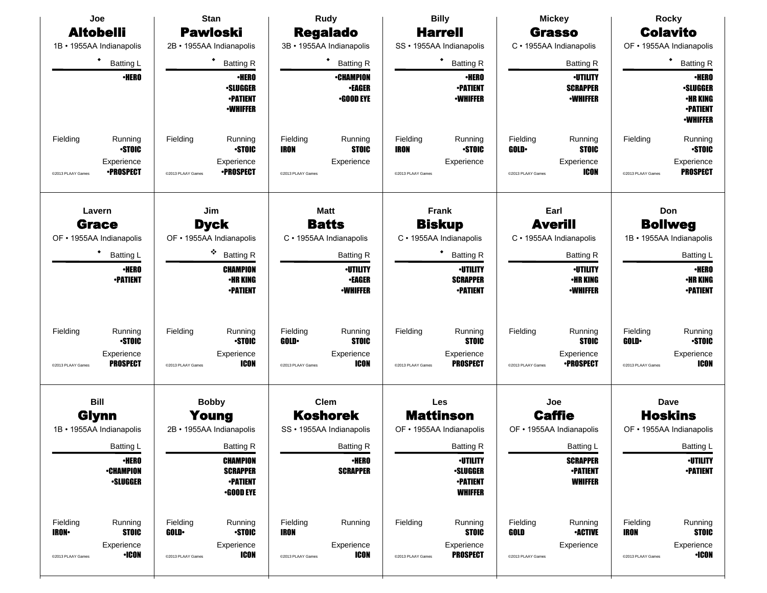| Joe                                                                                                    | <b>Stan</b>                                                                                          |                                                                                               | <b>Billy</b>                                                                              | <b>Mickey</b>                                                                                        | <b>Rocky</b>                                                                                    |  |
|--------------------------------------------------------------------------------------------------------|------------------------------------------------------------------------------------------------------|-----------------------------------------------------------------------------------------------|-------------------------------------------------------------------------------------------|------------------------------------------------------------------------------------------------------|-------------------------------------------------------------------------------------------------|--|
| <b>Altobelli</b>                                                                                       | <b>Pawloski</b>                                                                                      | <b>Regalado</b>                                                                               | <b>Harrell</b>                                                                            | <b>Grasso</b>                                                                                        | <b>Colavito</b>                                                                                 |  |
| 1B · 1955AA Indianapolis                                                                               | 2B · 1955AA Indianapolis                                                                             | 3B · 1955AA Indianapolis                                                                      | SS · 1955AA Indianapolis                                                                  | C · 1955AA Indianapolis                                                                              |                                                                                                 |  |
| ٠<br><b>Batting L</b>                                                                                  | ٠<br><b>Batting R</b>                                                                                | ٠<br><b>Batting R</b>                                                                         | ٠<br><b>Batting R</b>                                                                     | <b>Batting R</b>                                                                                     | ٠<br><b>Batting R</b>                                                                           |  |
| <b>·HERO</b>                                                                                           | <b>·HERO</b><br><b>·SLUGGER</b><br><b>-PATIENT</b><br><b>-WHIFFER</b>                                | <b>•CHAMPION</b><br><b>•EAGER</b><br>$-$ GOOD EYE                                             | <b>•HERO</b><br><b>•PATIENT</b><br><b>-WHIFFER</b>                                        | <b>·UTILITY</b><br><b>SCRAPPER</b><br><b>-WHIFFER</b>                                                | <b>·HERO</b><br><b>·SLUGGER</b><br><b>•HR KING</b><br><b>-PATIENT</b><br><b><i>•WHIFFER</i></b> |  |
| Fielding<br>Running<br><b>STOIC</b><br>Experience<br><b>•PROSPECT</b><br>@2013 PLAAY Games             | Fielding<br>Running<br><b>STOIC</b><br>Experience<br>∙PROSPECT<br>@2013 PLAAY Games                  | Fielding<br>Running<br><b>STOIC</b><br><b>IRON</b><br>Experience<br>@2013 PLAAY Games         | Fielding<br>Running<br><b>STOIC</b><br><b>IRON</b><br>Experience<br>@2013 PLAAY Games     | Fielding<br>Running<br><b>STOIC</b><br><b>GOLD</b><br>Experience<br><b>ICON</b><br>@2013 PLAAY Games | Fielding<br>Running<br><b>STOIC</b><br>Experience<br><b>PROSPECT</b><br>@2013 PLAAY Games       |  |
| Lavern                                                                                                 | Jim                                                                                                  | <b>Matt</b>                                                                                   | <b>Frank</b>                                                                              | Earl                                                                                                 | Don                                                                                             |  |
| <b>Grace</b>                                                                                           | <b>Dyck</b>                                                                                          | <b>Batts</b>                                                                                  | <b>Biskup</b>                                                                             | <b>Averill</b>                                                                                       | <b>Bollweg</b>                                                                                  |  |
| OF • 1955AA Indianapolis                                                                               | OF • 1955AA Indianapolis                                                                             | C · 1955AA Indianapolis                                                                       | C · 1955AA Indianapolis                                                                   | C · 1955AA Indianapolis                                                                              | 1B · 1955AA Indianapolis                                                                        |  |
| ٠<br><b>Batting L</b>                                                                                  | ۰<br><b>Batting R</b>                                                                                | <b>Batting R</b>                                                                              | <b>Batting R</b>                                                                          | <b>Batting R</b>                                                                                     | <b>Batting L</b>                                                                                |  |
| <b>·HERO</b><br><b>•PATIENT</b>                                                                        | <b>CHAMPION</b><br><b>•HR KING</b><br><b>•PATIENT</b>                                                | <b>·UTILITY</b><br><b>•EAGER</b><br><b>•WHIFFER</b>                                           | <b>·UTILITY</b><br><b>SCRAPPER</b><br><b>•PATIENT</b>                                     | <b>·UTILITY</b><br><b>•HR KING</b><br><b>•WHIFFER</b>                                                | <b>•HERO</b><br><b>·HR KING</b><br><b>•PATIENT</b>                                              |  |
| Fielding<br>Running<br><b>STOIC</b><br>Experience<br><b>PROSPECT</b><br>@2013 PLAAY Games              | Fielding<br>Running<br><b>STOIC</b><br>Experience<br>ICON<br>@2013 PLAAY Games                       | Fielding<br>Running<br><b>GOLD</b><br><b>STOIC</b><br>Experience<br>ICON<br>@2013 PLAAY Games | Fielding<br>Running<br><b>STOIC</b><br>Experience<br><b>PROSPECT</b><br>@2013 PLAAY Games | Fielding<br>Running<br><b>STOIC</b><br>Experience<br><b>•PROSPECT</b><br>@2013 PLAAY Games           | Running<br>Fielding<br><b>GOLD</b><br><b>STOIC</b><br>Experience<br>ICON<br>@2013 PLAAY Games   |  |
| <b>Bill</b>                                                                                            | <b>Bobby</b>                                                                                         | <b>Clem</b>                                                                                   | Les                                                                                       | Joe                                                                                                  | Dave                                                                                            |  |
| <b>Glynn</b><br>1B · 1955AA Indianapolis                                                               | Young<br>2B · 1955AA Indianapolis                                                                    | <b>Koshorek</b><br>SS · 1955AA Indianapolis                                                   | <b>Mattinson</b><br>OF • 1955AA Indianapolis                                              | <b>Caffie</b><br>OF • 1955AA Indianapolis                                                            | <b>Hoskins</b><br>OF • 1955AA Indianapolis                                                      |  |
| <b>Batting L</b>                                                                                       | <b>Batting R</b>                                                                                     | <b>Batting R</b>                                                                              | <b>Batting R</b>                                                                          | Batting L                                                                                            | Batting L                                                                                       |  |
| <b>·HERO</b><br><b>-CHAMPION</b><br><b>·SLUGGER</b>                                                    | <b>CHAMPION</b><br><b>SCRAPPER</b><br><b>-PATIENT</b><br>$\cdot$ GOOD EYE                            | <b>•HERO</b><br><b>SCRAPPER</b>                                                               | <b>-UTILITY</b><br><b>·SLUGGER</b><br><b>-PATIENT</b><br><b>WHIFFER</b>                   | <b>SCRAPPER</b><br><b>•PATIENT</b><br><b>WHIFFER</b>                                                 | <b>-UTILITY</b><br><b>-PATIENT</b>                                                              |  |
| Fielding<br>Running<br><b>STOIC</b><br><b>IRON-</b><br>Experience<br><b>•ICON</b><br>@2013 PLAAY Games | Fielding<br>Running<br><b>STOIC</b><br><b>GOLD</b><br>Experience<br><b>ICON</b><br>@2013 PLAAY Games | Fielding<br>Running<br><b>IRON</b><br>Experience<br>ICON<br>@2013 PLAAY Games                 | Fielding<br>Running<br><b>STOIC</b><br>Experience<br><b>PROSPECT</b><br>@2013 PLAAY Games | Fielding<br>Running<br><b>-ACTIVE</b><br>GOLD<br>Experience<br>@2013 PLAAY Games                     | Fielding<br>Running<br>IRON<br><b>STOIC</b><br>Experience<br>$\cdot$ ICON<br>@2013 PLAAY Games  |  |
|                                                                                                        |                                                                                                      |                                                                                               |                                                                                           |                                                                                                      |                                                                                                 |  |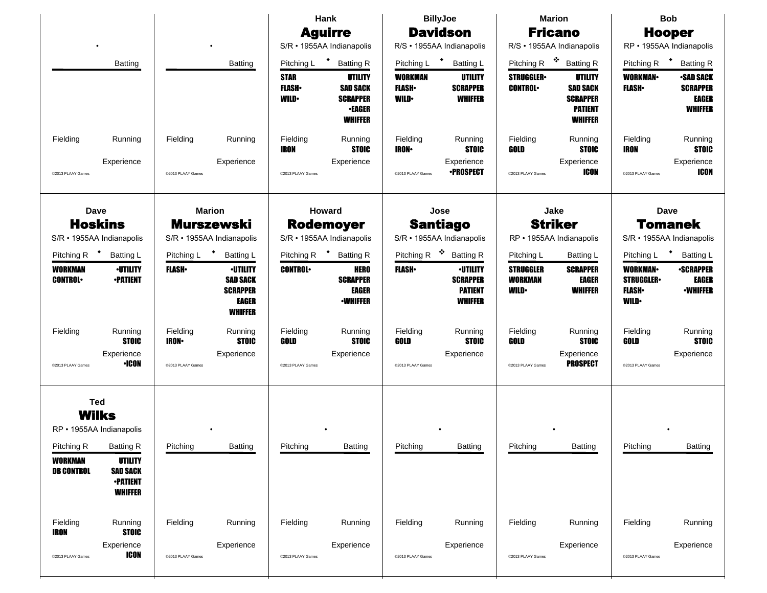|                                                                                                                                        |                                                                                                                       |                                                |                                                                                         | Hank                                                     |                                                                                                        | <b>BillyJoe</b>                                      | <b>Marion</b>                                                          |                                                    |                                                                                   | <b>Bob</b>                                                         |                                                                                           |  |
|----------------------------------------------------------------------------------------------------------------------------------------|-----------------------------------------------------------------------------------------------------------------------|------------------------------------------------|-----------------------------------------------------------------------------------------|----------------------------------------------------------|--------------------------------------------------------------------------------------------------------|------------------------------------------------------|------------------------------------------------------------------------|----------------------------------------------------|-----------------------------------------------------------------------------------|--------------------------------------------------------------------|-------------------------------------------------------------------------------------------|--|
|                                                                                                                                        |                                                                                                                       |                                                |                                                                                         |                                                          | <b>Aguirre</b><br>S/R · 1955AA Indianapolis                                                            |                                                      | <b>Davidson</b><br>R/S · 1955AA Indianapolis                           |                                                    | <b>Fricano</b><br>R/S · 1955AA Indianapolis                                       |                                                                    | <b>Hooper</b><br>RP · 1955AA Indianapolis                                                 |  |
|                                                                                                                                        |                                                                                                                       |                                                |                                                                                         |                                                          |                                                                                                        |                                                      |                                                                        | Pitching R $\cdot$                                 | <b>Batting R</b>                                                                  |                                                                    |                                                                                           |  |
|                                                                                                                                        | <b>Batting</b>                                                                                                        |                                                | <b>Batting</b>                                                                          | Pitching L<br><b>STAR</b><br><b>FLASH</b><br><b>WILD</b> | * Batting R<br><b>UTILITY</b><br><b>SAD SACK</b><br><b>SCRAPPER</b><br><b>•EAGER</b><br><b>WHIFFER</b> | Pitching L<br>WORKMAN<br><b>FLASH</b><br><b>WILD</b> | <b>Batting L</b><br>UTILITY<br><b>SCRAPPER</b><br><b>WHIFFER</b>       | <b>STRUGGLER</b><br><b>CONTROL</b>                 | UTILITY<br><b>SAD SACK</b><br><b>SCRAPPER</b><br><b>PATIENT</b><br><b>WHIFFER</b> | Pitching R<br><b>WORKMAN-</b><br><b>FLASH</b>                      | <b>Batting R</b><br><b>-SAD SACK</b><br><b>SCRAPPER</b><br><b>EAGER</b><br><b>WHIFFER</b> |  |
| Fielding                                                                                                                               | Running                                                                                                               | Fielding                                       | Running                                                                                 | Fielding<br><b>IRON</b>                                  | Running<br><b>STOIC</b>                                                                                | Fielding<br><b>IRON</b>                              | Running<br><b>STOIC</b>                                                | Fielding<br>GOLD                                   | Running<br><b>STOIC</b>                                                           | Fielding<br><b>IRON</b>                                            | Running<br><b>STOIC</b>                                                                   |  |
| @2013 PLAAY Games                                                                                                                      | Experience                                                                                                            | @2013 PLAAY Games                              | Experience                                                                              | @2013 PLAAY Games                                        | Experience                                                                                             | @2013 PLAAY Games                                    | Experience<br><b>•PROSPECT</b>                                         | @2013 PLAAY Games                                  | Experience<br><b>ICON</b>                                                         | @2013 PLAAY Games                                                  | Experience<br>ICON                                                                        |  |
| <b>Dave</b><br><b>Hoskins</b><br>S/R · 1955AA Indianapolis                                                                             | <b>Marion</b><br><b>Murszewski</b><br>S/R · 1955AA Indianapolis                                                       |                                                | Howard<br><b>Rodemoyer</b><br>S/R · 1955AA Indianapolis                                 |                                                          |                                                                                                        | Jose<br><b>Santiago</b><br>S/R · 1955AA Indianapolis |                                                                        | Jake<br><b>Striker</b><br>RP · 1955AA Indianapolis |                                                                                   | <b>Dave</b><br><b>Tomanek</b><br>S/R · 1955AA Indianapolis         |                                                                                           |  |
| Pitching R                                                                                                                             | <b>Batting L</b>                                                                                                      | Pitching L                                     | <b>Batting L</b>                                                                        | Pitching R                                               | <b>Batting R</b>                                                                                       | Pitching R                                           | 豪<br><b>Batting R</b>                                                  | Pitching L                                         | Batting L                                                                         | Pitching L                                                         | <b>Batting L</b>                                                                          |  |
| <b>WORKMAN</b><br><b>CONTROL</b>                                                                                                       | <b>·UTILITY</b><br><b>•PATIENT</b>                                                                                    | <b>FLASH</b>                                   | <b>·UTILITY</b><br><b>SAD SACK</b><br><b>SCRAPPER</b><br><b>EAGER</b><br><b>WHIFFER</b> | <b>CONTROL</b>                                           | <b>HERO</b><br><b>SCRAPPER</b><br>EAGER<br><b>•WHIFFER</b>                                             | <b>FLASH</b> •                                       | <b>-UTILITY</b><br><b>SCRAPPER</b><br><b>PATIENT</b><br><b>WHIFFER</b> | <b>STRUGGLER</b><br><b>WORKMAN</b><br><b>WILD</b>  | <b>SCRAPPER</b><br><b>EAGER</b><br><b>WHIFFER</b>                                 | <b>WORKMAN-</b><br><b>STRUGGLER</b><br><b>FLASH</b><br><b>WILD</b> | <b>•SCRAPPER</b><br><b>EAGER</b><br><b><i>•WHIFFER</i></b>                                |  |
| Fielding<br>@2013 PLAAY Games                                                                                                          | Running<br><b>STOIC</b><br>Experience<br><b>•ICON</b>                                                                 | Fielding<br><b>IRON</b> •<br>@2013 PLAAY Games | Running<br><b>STOIC</b><br>Experience                                                   | Fielding<br>GOLD<br>@2013 PLAAY Games                    | Running<br><b>STOIC</b><br>Experience                                                                  | Fielding<br>GOLD<br>@2013 PLAAY Games                | Running<br><b>STOIC</b><br>Experience                                  | Fielding<br>GOLD<br>@2013 PLAAY Games              | Running<br><b>STOIC</b><br>Experience<br><b>PROSPECT</b>                          | Fielding<br>GOLD<br>@2013 PLAAY Games                              | Running<br><b>STOIC</b><br>Experience                                                     |  |
| <b>Ted</b><br><b>Wilks</b><br>RP · 1955AA Indianapolis<br>Pitching R<br><b>WORKMAN</b><br><b>DB CONTROL</b><br>Fielding<br><b>IRON</b> | <b>Batting R</b><br><b>UTILITY</b><br><b>SAD SACK</b><br><b>-PATIENT</b><br><b>WHIFFER</b><br>Running<br><b>STOIC</b> | Pitching<br>Fielding                           | <b>Batting</b><br>Running                                                               | Pitching<br>Fielding                                     | <b>Batting</b><br>Running                                                                              | Pitching<br>Fielding                                 | Batting<br>Running                                                     | Pitching<br>Fielding                               | <b>Batting</b><br>Running                                                         | Pitching<br>Fielding                                               | <b>Batting</b><br>Running                                                                 |  |
| @2013 PLAAY Games                                                                                                                      | Experience<br><b>ICON</b>                                                                                             | @2013 PLAAY Games                              | Experience                                                                              | @2013 PLAAY Games                                        | Experience                                                                                             | @2013 PLAAY Games                                    | Experience                                                             | @2013 PLAAY Games                                  | Experience                                                                        | @2013 PLAAY Games                                                  | Experience                                                                                |  |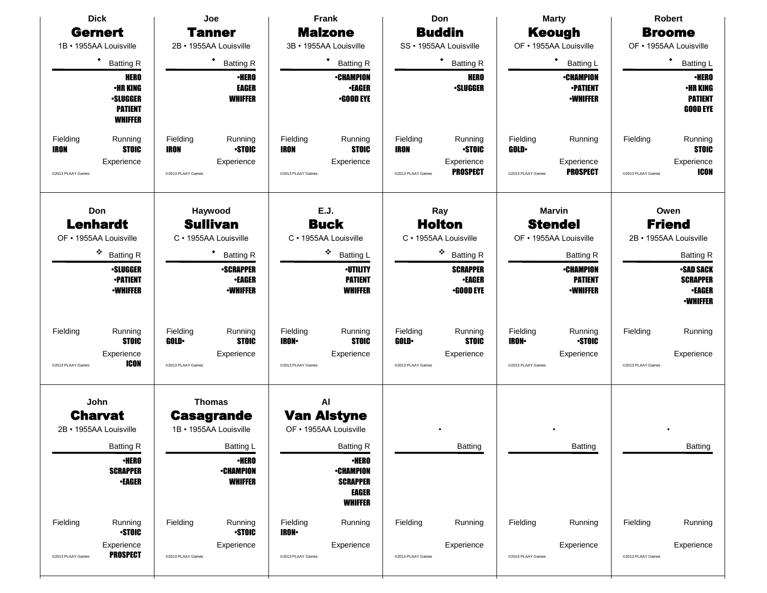| <b>Dick</b>                                                                                             | Joe                                                                                   | Frank                                                                                                     | Don<br><b>Marty</b>                                                                                      |                                                                                          | Robert                                                                         |  |
|---------------------------------------------------------------------------------------------------------|---------------------------------------------------------------------------------------|-----------------------------------------------------------------------------------------------------------|----------------------------------------------------------------------------------------------------------|------------------------------------------------------------------------------------------|--------------------------------------------------------------------------------|--|
| <b>Gernert</b>                                                                                          | <b>Tanner</b>                                                                         | <b>Malzone</b>                                                                                            | <b>Buddin</b>                                                                                            | <b>Keough</b>                                                                            | <b>Broome</b>                                                                  |  |
| 1B · 1955AA Louisville                                                                                  | 2B · 1955AA Louisville                                                                | 3B · 1955AA Louisville                                                                                    | SS · 1955AA Louisville                                                                                   | OF • 1955AA Louisville                                                                   | OF • 1955AA Louisville                                                         |  |
| $\bullet$<br><b>Batting R</b>                                                                           | ٠<br><b>Batting R</b>                                                                 | ٠<br><b>Batting R</b>                                                                                     | ٠<br><b>Batting R</b>                                                                                    | $\blacklozenge$<br><b>Batting L</b>                                                      | ٠<br><b>Batting L</b>                                                          |  |
| <b>HERO</b><br><b>•HR KING</b><br><b>•SLUGGER</b><br><b>PATIENT</b><br><b>WHIFFER</b>                   | <b>·HERO</b><br><b>EAGER</b><br><b>WHIFFER</b>                                        | <b>•CHAMPION</b><br><b>•EAGER</b><br><b>•GOOD EYE</b>                                                     | <b>HERO</b><br><b>·SLUGGER</b>                                                                           | <b>•CHAMPION</b><br><b>-PATIENT</b><br><b>•WHIFFER</b>                                   | <b>·HERO</b><br><b>•HR KING</b><br><b>PATIENT</b><br><b>GOOD EYE</b>           |  |
| Fielding<br>Running<br><b>STOIC</b><br><b>IRON</b><br>Experience<br>@2013 PLAAY Games                   | Fielding<br>Running<br><b>STOIC</b><br><b>IRON</b><br>Experience<br>@2013 PLAAY Games | Fielding<br>Running<br><b>STOIC</b><br><b>IRON</b><br>Experience<br>@2013 PLAAY Games                     | Fielding<br>Running<br><b>STOIC</b><br><b>IRON</b><br>Experience<br><b>PROSPECT</b><br>@2013 PLAAY Games | Fielding<br>Running<br><b>GOLD</b><br>Experience<br><b>PROSPECT</b><br>@2013 PLAAY Games | Fielding<br>Running<br><b>STOIC</b><br>Experience<br>ICON<br>@2013 PLAAY Games |  |
| Haywood<br>Don<br><b>Sullivan</b><br><b>Lenhardt</b><br>OF • 1955AA Louisville<br>C · 1955AA Louisville |                                                                                       | E.J.<br><b>Buck</b><br>C · 1955AA Louisville                                                              | Ray<br><b>Holton</b><br>C · 1955AA Louisville                                                            | <b>Marvin</b><br><b>Stendel</b><br>OF • 1955AA Louisville                                | Owen<br><b>Friend</b><br>2B · 1955AA Louisville                                |  |
| ۰<br><b>Batting R</b>                                                                                   | <b>Batting R</b>                                                                      | ۰<br><b>Batting L</b>                                                                                     | ۰<br><b>Batting R</b>                                                                                    | <b>Batting R</b>                                                                         | <b>Batting R</b>                                                               |  |
| <b>-SLUGGER</b><br><b>-PATIENT</b><br><b>•WHIFFER</b>                                                   | <b>-SCRAPPER</b><br><b>•EAGER</b><br><b>-WHIFFER</b>                                  | <b>·UTILITY</b><br><b>PATIENT</b><br><b>WHIFFER</b>                                                       | <b>SCRAPPER</b><br><b>•EAGER</b><br><b>•GOOD EYE</b>                                                     | ∙CHAMPION<br><b>PATIENT</b><br><b>•WHIFFER</b>                                           | <b>-SAD SACK</b><br><b>SCRAPPER</b><br><b>•EAGER</b><br><b>-WHIFFER</b>        |  |
| Fielding<br>Running<br><b>STOIC</b><br>Experience<br><b>ICON</b><br>@2013 PLAAY Games                   | Fielding<br>Running<br><b>STOIC</b><br><b>GOLD</b><br>Experience<br>@2013 PLAAY Games | Fielding<br>Running<br><b>IRON-</b><br><b>STOIC</b><br>Experience<br>@2013 PLAAY Games                    | Fielding<br>Running<br><b>STOIC</b><br><b>GOLD</b><br>Experience<br>@2013 PLAAY Games                    | Fielding<br>Running<br><b>STOIC</b><br><b>IRON</b><br>Experience<br>@2013 PLAAY Games    | Fielding<br>Running<br>Experience<br>@2013 PLAAY Games                         |  |
| John<br><b>Charvat</b><br>2B · 1955AA Louisville                                                        | <b>Thomas</b><br><b>Casagrande</b><br>1B · 1955AA Louisville                          | Al<br><b>Van Alstyne</b><br>OF • 1955AA Louisville                                                        |                                                                                                          |                                                                                          |                                                                                |  |
| <b>Batting R</b><br><b>•HERO</b><br><b>SCRAPPER</b><br><b>•EAGER</b>                                    | <b>Batting L</b><br><b>•HERO</b><br><b>•CHAMPION</b><br><b>WHIFFER</b>                | <b>Batting R</b><br><b>•HERO</b><br><b>•CHAMPION</b><br><b>SCRAPPER</b><br><b>EAGER</b><br><b>WHIFFER</b> | <b>Batting</b>                                                                                           | Batting                                                                                  | Batting                                                                        |  |
| Fielding<br>Running<br><b>STOIC</b><br>Experience<br><b>PROSPECT</b><br>@2013 PLAAY Games               | Fielding<br>Running<br><b>STOIC</b><br>Experience<br>@2013 PLAAY Games                | Fielding<br>Running<br><b>IRON-</b><br>Experience<br>@2013 PLAAY Games                                    | Fielding<br>Running<br>Experience<br>@2013 PLAAY Games                                                   | Fielding<br>Running<br>Experience<br>@2013 PLAAY Games                                   | Fielding<br>Running<br>Experience<br>@2013 PLAAY Games                         |  |
|                                                                                                         |                                                                                       |                                                                                                           |                                                                                                          |                                                                                          |                                                                                |  |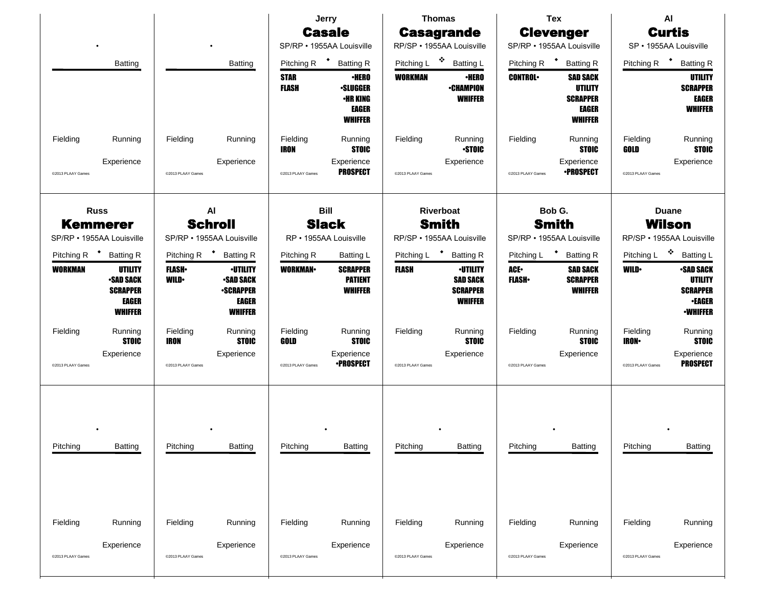|                   |                                                                                                                  |                               |                                                                                           |                             | Jerry<br><b>Casale</b>                                                               |                                                        | <b>Thomas</b><br><b>Casagrande</b>                                      | <b>Tex</b><br><b>Clevenger</b>                      |                                                                                        | AI<br><b>Curtis</b>                                 |                                                                                          |
|-------------------|------------------------------------------------------------------------------------------------------------------|-------------------------------|-------------------------------------------------------------------------------------------|-----------------------------|--------------------------------------------------------------------------------------|--------------------------------------------------------|-------------------------------------------------------------------------|-----------------------------------------------------|----------------------------------------------------------------------------------------|-----------------------------------------------------|------------------------------------------------------------------------------------------|
|                   |                                                                                                                  |                               |                                                                                           |                             | SP/RP · 1955AA Louisville                                                            |                                                        | RP/SP · 1955AA Louisville                                               |                                                     | SP/RP · 1955AA Louisville                                                              |                                                     | SP · 1955AA Louisville                                                                   |
|                   | <b>Batting</b>                                                                                                   |                               | <b>Batting</b>                                                                            | Pitching R                  | $\ddot{\phantom{1}}$<br><b>Batting R</b>                                             | Pitching L                                             | 豪<br><b>Batting L</b>                                                   | Pitching R <sup>+</sup>                             | <b>Batting R</b>                                                                       | Pitching R                                          | <b>Batting R</b>                                                                         |
|                   |                                                                                                                  |                               |                                                                                           | <b>STAR</b><br><b>FLASH</b> | <b>•HERO</b><br><b>•SLUGGER</b><br><b>•HR KING</b><br><b>EAGER</b><br><b>WHIFFER</b> | <b>WORKMAN</b>                                         | <b>•HERO</b><br><b>•CHAMPION</b><br><b>WHIFFER</b>                      | <b>CONTROL</b>                                      | <b>SAD SACK</b><br><b>UTILITY</b><br><b>SCRAPPER</b><br><b>EAGER</b><br><b>WHIFFER</b> |                                                     | UTILITY<br><b>SCRAPPER</b><br><b>EAGER</b><br><b>WHIFFER</b>                             |
| Fielding          | Running                                                                                                          | Fielding                      | Running                                                                                   | Fielding<br>IRON            | Running<br><b>STOIC</b>                                                              | Fielding                                               | Running<br><b>STOIC</b>                                                 | Fielding                                            | Running<br><b>STOIC</b>                                                                | Fielding<br>GOLD                                    | Running<br><b>STOIC</b>                                                                  |
| @2013 PLAAY Games | Experience                                                                                                       | @2013 PLAAY Games             | Experience                                                                                | @2013 PLAAY Games           | Experience<br><b>PROSPECT</b>                                                        | @2013 PLAAY Games                                      | Experience                                                              | @2013 PLAAY Games                                   | Experience<br><b>•PROSPECT</b>                                                         | @2013 PLAAY Games                                   | Experience                                                                               |
|                   | AI<br><b>Russ</b><br><b>Schroll</b><br><b>Kemmerer</b><br>SP/RP · 1955AA Louisville<br>SP/RP · 1955AA Louisville |                               |                                                                                           |                             | <b>Bill</b><br><b>Slack</b><br>RP · 1955AA Louisville                                | Riverboat<br><b>Smith</b><br>RP/SP · 1955AA Louisville |                                                                         | Bob G.<br><b>Smith</b><br>SP/RP · 1955AA Louisville |                                                                                        | <b>Duane</b><br>Wilson<br>RP/SP · 1955AA Louisville |                                                                                          |
| Pitching R        | <b>Batting R</b>                                                                                                 | Pitching R <sup>+</sup>       | <b>Batting R</b>                                                                          | Pitching R                  | Batting L                                                                            | Pitching L <sup>+</sup>                                | <b>Batting R</b>                                                        | Pitching L                                          | <b>Batting R</b>                                                                       | Pitching L                                          | 豪<br><b>Batting L</b>                                                                    |
| <b>WORKMAN</b>    | UTILITY<br><b>SAD SACK</b><br><b>SCRAPPER</b><br>EAGER<br><b>WHIFFER</b>                                         | <b>FLASH</b> •<br><b>WILD</b> | <b>-UTILITY</b><br><b>-SAD SACK</b><br><b>-SCRAPPER</b><br><b>EAGER</b><br><b>WHIFFER</b> | <b>WORKMAN</b>              | <b>SCRAPPER</b><br><b>PATIENT</b><br><b>WHIFFER</b>                                  | <b>FLASH</b>                                           | <b>·UTILITY</b><br><b>SAD SACK</b><br><b>SCRAPPER</b><br><b>WHIFFER</b> | ACE.<br><b>FLASH</b> •                              | <b>SAD SACK</b><br><b>SCRAPPER</b><br><b>WHIFFER</b>                                   | <b>WILD</b>                                         | <b>SAD SACK</b><br>UTILITY<br><b>SCRAPPER</b><br><b>•EAGER</b><br><b><i>•WHIFFER</i></b> |
| Fielding          | Running<br><b>STOIC</b>                                                                                          | Fielding<br>IRON              | Running<br><b>STOIC</b>                                                                   | Fielding<br>GOLD            | Running<br><b>STOIC</b>                                                              | Fielding                                               | Running<br><b>STOIC</b>                                                 | Fielding                                            | Running<br><b>STOIC</b>                                                                | Fielding<br><b>IRON</b> •                           | Running<br><b>STOIC</b>                                                                  |
| @2013 PLAAY Games | Experience                                                                                                       | @2013 PLAAY Games             | Experience                                                                                | @2013 PLAAY Games           | Experience<br><b>•PROSPECT</b>                                                       | @2013 PLAAY Games                                      | Experience                                                              | @2013 PLAAY Games                                   | Experience                                                                             | @2013 PLAAY Games                                   | Experience<br><b>PROSPECT</b>                                                            |
| Pitching          | <b>Batting</b>                                                                                                   | Pitching                      | <b>Batting</b>                                                                            | Pitching                    | <b>Batting</b>                                                                       | Pitching                                               | <b>Batting</b>                                                          | Pitching                                            | Batting                                                                                | Pitching                                            | <b>Batting</b>                                                                           |
| Fielding          | Running                                                                                                          | Fielding                      | Running                                                                                   | Fielding                    | Running                                                                              | Fielding                                               | Running                                                                 | Fielding                                            | Running                                                                                | Fielding                                            | Running                                                                                  |
| @2013 PLAAY Games | Experience                                                                                                       | @2013 PLAAY Games             | Experience                                                                                | @2013 PLAAY Games           | Experience                                                                           | @2013 PLAAY Games                                      | Experience                                                              | @2013 PLAAY Games                                   | Experience                                                                             | @2013 PLAAY Games                                   | Experience                                                                               |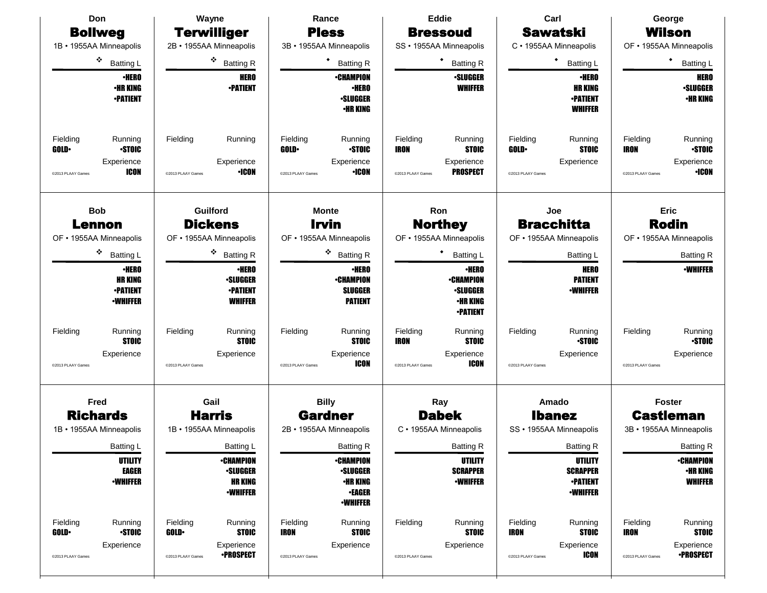| Don                                                | Wayne                                              | Rance                                              | <b>Eddie</b>                                       | Carl                                               | George                                             |  |
|----------------------------------------------------|----------------------------------------------------|----------------------------------------------------|----------------------------------------------------|----------------------------------------------------|----------------------------------------------------|--|
| <b>Bollweg</b>                                     | <b>Terwilliger</b>                                 | <b>Pless</b>                                       | <b>Bressoud</b>                                    | <b>Sawatski</b>                                    | <b>Wilson</b>                                      |  |
| 1B • 1955AA Minneapolis                            | 2B · 1955AA Minneapolis                            | 3B · 1955AA Minneapolis                            | SS · 1955AA Minneapolis                            | C · 1955AA Minneapolis                             | OF • 1955AA Minneapolis                            |  |
| ۰<br><b>Batting L</b>                              | ❖ Batting R                                        | ٠<br><b>Batting R</b>                              | <b>Batting R</b>                                   | ٠<br><b>Batting L</b>                              | ٠<br><b>Batting L</b>                              |  |
| <b>•HERO</b>                                       | <b>HERO</b>                                        | <b>•CHAMPION</b>                                   | <b>·SLUGGER</b>                                    | <b>·HERO</b>                                       | <b>HERO</b>                                        |  |
| <b>•HR KING</b><br><b>•PATIENT</b>                 | <b>-PATIENT</b>                                    | <b>·HERO</b><br><b>·SLUGGER</b>                    | <b>WHIFFER</b>                                     | <b>HR KING</b><br><b>-PATIENT</b>                  | <b>-SLUGGER</b><br><b>•HR KING</b>                 |  |
|                                                    |                                                    | <b>•HR KING</b>                                    |                                                    | <b>WHIFFER</b>                                     |                                                    |  |
| Fielding<br>Running                                | Fielding<br>Running                                | Fielding<br>Running                                | Fielding<br>Running                                | Fielding<br>Running                                | Running<br>Fielding                                |  |
| <b>STOIC</b><br><b>GOLD</b>                        |                                                    | <b>STOIC</b><br><b>GOLD</b>                        | <b>STOIC</b><br><b>IRON</b>                        | <b>STOIC</b><br><b>GOLD</b>                        | <b>STOIC</b><br><b>IRON</b>                        |  |
| Experience<br><b>ICON</b><br>@2013 PLAAY Games     | Experience<br><b>•ICON</b><br>@2013 PLAAY Games    | Experience<br><b>•ICON</b><br>@2013 PLAAY Games    | Experience<br><b>PROSPECT</b><br>@2013 PLAAY Games | Experience<br>@2013 PLAAY Games                    | Experience<br><b>•ICON</b><br>@2013 PLAAY Games    |  |
|                                                    |                                                    |                                                    |                                                    |                                                    |                                                    |  |
| <b>Bob</b><br>Lennon                               | Guilford<br><b>Dickens</b>                         | <b>Monte</b><br><b>Irvin</b>                       | Ron<br><b>Northey</b>                              | Joe<br><b>Bracchitta</b>                           | <b>Eric</b><br><b>Rodin</b>                        |  |
| OF • 1955AA Minneapolis                            | OF • 1955AA Minneapolis                            | OF • 1955AA Minneapolis                            | OF • 1955AA Minneapolis                            | OF • 1955AA Minneapolis                            | OF • 1955AA Minneapolis                            |  |
| ۰<br><b>Batting L</b>                              | 交易<br><b>Batting R</b>                             | 交易<br><b>Batting R</b>                             | <b>Batting L</b>                                   | <b>Batting L</b>                                   | <b>Batting R</b>                                   |  |
| <b>•HERO</b>                                       | <b>·HERO</b>                                       | <b>•HERO</b>                                       | <b>-HERO</b>                                       | <b>HERO</b>                                        | <b>·WHIFFER</b>                                    |  |
| <b>HR KING</b>                                     | <b>·SLUGGER</b>                                    | <b>•CHAMPION</b>                                   | <b>•CHAMPION</b>                                   | <b>PATIENT</b>                                     |                                                    |  |
| <b>•PATIENT</b><br><b>•WHIFFER</b>                 | <b>•PATIENT</b><br><b>WHIFFER</b>                  | <b>SLUGGER</b><br><b>PATIENT</b>                   | <b>.SLUGGER</b><br>•HR KING                        | <b>•WHIFFER</b>                                    |                                                    |  |
|                                                    |                                                    |                                                    | <b>•PATIENT</b>                                    |                                                    |                                                    |  |
| Fielding<br>Running<br><b>STOIC</b>                | Running<br>Fielding<br><b>STOIC</b>                | Fielding<br>Running<br><b>STOIC</b>                | Fielding<br>Running<br><b>STOIC</b><br><b>IRON</b> | Running<br>Fielding<br><b>STOIC</b>                | Running<br>Fielding<br><b>STOIC</b>                |  |
| Experience                                         | Experience                                         | Experience                                         | Experience                                         | Experience                                         | Experience                                         |  |
| @2013 PLAAY Games                                  | @2013 PLAAY Games                                  | ICON<br>@2013 PLAAY Games                          | ICON<br>@2013 PLAAY Games                          | @2013 PLAAY Games                                  | @2013 PLAAY Games                                  |  |
| Fred                                               | Gail                                               | <b>Billy</b>                                       | Ray                                                | Amado                                              | <b>Foster</b>                                      |  |
| <b>Richards</b>                                    | <b>Harris</b>                                      | <b>Gardner</b>                                     | <b>Dabek</b>                                       | <b>Ibanez</b>                                      | <b>Castleman</b>                                   |  |
| 1B • 1955AA Minneapolis                            | 1B · 1955AA Minneapolis                            | 2B · 1955AA Minneapolis                            | C · 1955AA Minneapolis                             | SS · 1955AA Minneapolis                            | 3B · 1955AA Minneapolis                            |  |
| <b>Batting L</b>                                   | Batting L                                          | <b>Batting R</b>                                   | <b>Batting R</b>                                   | <b>Batting R</b>                                   | <b>Batting R</b>                                   |  |
| <b>UTILITY</b>                                     | <b>•CHAMPION</b>                                   | <b>•CHAMPION</b>                                   | <b>UTILITY</b>                                     | <b>UTILITY</b>                                     | <b>•CHAMPION</b>                                   |  |
| <b>EAGER</b><br><b>-WHIFFER</b>                    | <b>·SLUGGER</b><br><b>HR KING</b>                  | <b>.SLUGGER</b><br><b>•HR KING</b>                 | <b>SCRAPPER</b><br><b>-WHIFFER</b>                 | <b>SCRAPPER</b><br><b>-PATIENT</b>                 | <b>•HR KING</b><br><b>WHIFFER</b>                  |  |
|                                                    | <b>-WHIFFER</b>                                    | <b>-EAGER</b><br><b>•WHIFFER</b>                   |                                                    | <b>-WHIFFER</b>                                    |                                                    |  |
| Fielding<br>Running<br><b>STOIC</b><br><b>GOLD</b> | Fielding<br>Running<br><b>GOLD</b><br><b>STOIC</b> | Fielding<br>Running<br><b>STOIC</b><br><b>IRON</b> | Fielding<br>Running<br><b>STOIC</b>                | Fielding<br>Running<br><b>STOIC</b><br><b>IRON</b> | Running<br>Fielding<br><b>IRON</b><br><b>STOIC</b> |  |
| Experience                                         | Experience                                         | Experience                                         | Experience                                         | Experience                                         | Experience                                         |  |
| @2013 PLAAY Games                                  | <b>•PROSPECT</b><br>@2013 PLAAY Games              | @2013 PLAAY Games                                  | @2013 PLAAY Games                                  | <b>ICON</b><br>@2013 PLAAY Games                   | <b>•PROSPECT</b><br>@2013 PLAAY Games              |  |
|                                                    |                                                    |                                                    |                                                    |                                                    |                                                    |  |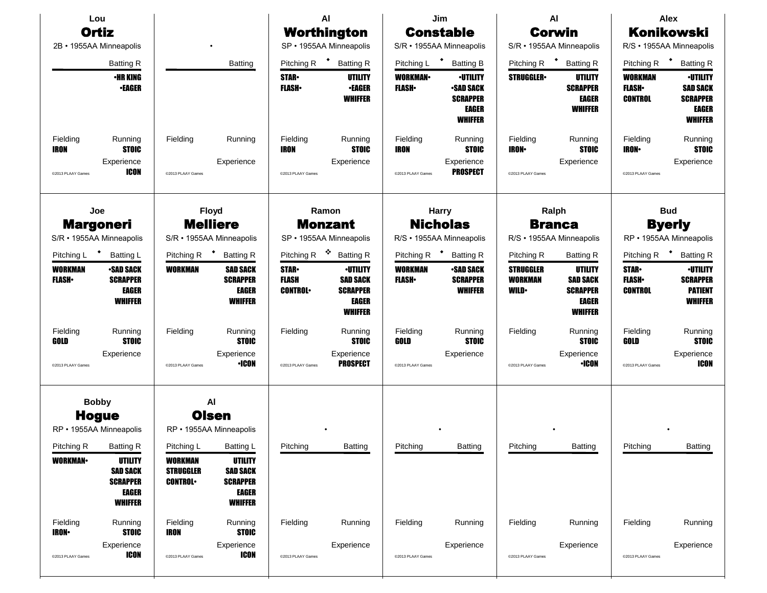|                                                | Lou<br><b>Ortiz</b><br>2B • 1955AA Minneapolis                                                                               |                                                                    |                                                                                                                           |                                                             | AI<br>Worthington<br>SP · 1955AA Minneapolis                                                       |                                              | Jim<br><b>Constable</b><br>S/R · 1955AA Minneapolis                                                         |                                                                 | <b>AI</b><br>Corwin<br>S/R · 1955AA Minneapolis                                                     | <b>Alex</b><br><b>Konikowski</b><br>R/S • 1955AA Minneapolis   |                                                                                                             |
|------------------------------------------------|------------------------------------------------------------------------------------------------------------------------------|--------------------------------------------------------------------|---------------------------------------------------------------------------------------------------------------------------|-------------------------------------------------------------|----------------------------------------------------------------------------------------------------|----------------------------------------------|-------------------------------------------------------------------------------------------------------------|-----------------------------------------------------------------|-----------------------------------------------------------------------------------------------------|----------------------------------------------------------------|-------------------------------------------------------------------------------------------------------------|
|                                                | <b>Batting R</b><br><b>•HR KING</b><br><b>•EAGER</b>                                                                         |                                                                    | <b>Batting</b>                                                                                                            | Pitching R<br><b>STAR</b><br><b>FLASH</b>                   | * Batting R<br>UTILITY<br><b>-EAGER</b><br><b>WHIFFER</b>                                          | Pitching L<br><b>WORKMAN</b><br><b>FLASH</b> | <b>Batting B</b><br><b>•UTILITY</b><br><b>SAD SACK</b><br><b>SCRAPPER</b><br><b>EAGER</b><br><b>WHIFFER</b> | Pitching R<br><b>STRUGGLER</b>                                  | <b>Batting R</b><br>UTILITY<br><b>SCRAPPER</b><br><b>EAGER</b><br><b>WHIFFER</b>                    | Pitching R<br><b>WORKMAN</b><br><b>FLASH</b><br><b>CONTROL</b> | <b>Batting R</b><br><b>·UTILITY</b><br><b>SAD SACK</b><br><b>SCRAPPER</b><br><b>EAGER</b><br><b>WHIFFER</b> |
| Fielding<br><b>IRON</b><br>@2013 PLAAY Games   | Running<br><b>STOIC</b><br>Experience<br><b>ICON</b>                                                                         | Fielding<br>@2013 PLAAY Games                                      | Running<br>Experience                                                                                                     | Fielding<br><b>IRON</b><br>@2013 PLAAY Games                | Running<br><b>STOIC</b><br>Experience                                                              | Fielding<br><b>IRON</b><br>@2013 PLAAY Games | Running<br><b>STOIC</b><br>Experience<br><b>PROSPECT</b>                                                    | Fielding<br><b>IRON</b><br>@2013 PLAAY Games                    | Running<br><b>STOIC</b><br>Experience                                                               | Fielding<br><b>IRON</b><br>@2013 PLAAY Games                   | Running<br><b>STOIC</b><br>Experience                                                                       |
|                                                | Joe<br><b>Margoneri</b><br>S/R · 1955AA Minneapolis                                                                          |                                                                    | <b>Floyd</b><br><b>Melliere</b><br>S/R · 1955AA Minneapolis                                                               |                                                             | Ramon<br><b>Harry</b><br><b>Monzant</b><br>SP · 1955AA Minneapolis                                 |                                              | <b>Nicholas</b><br>R/S · 1955AA Minneapolis                                                                 |                                                                 | Ralph<br><b>Branca</b><br>R/S · 1955AA Minneapolis                                                  |                                                                | <b>Bud</b><br><b>Byerly</b><br>RP • 1955AA Minneapolis                                                      |
| Pitching L<br><b>WORKMAN</b><br><b>FLASH</b> • | <b>Batting L</b><br><b>-SAD SACK</b><br><b>SCRAPPER</b><br><b>EAGER</b><br><b>WHIFFER</b>                                    | Pitching R<br><b>WORKMAN</b>                                       | <b>Batting R</b><br><b>SAD SACK</b><br><b>SCRAPPER</b><br><b>EAGER</b><br><b>WHIFFER</b>                                  | Pitching R<br><b>STAR</b><br><b>FLASH</b><br><b>CONTROL</b> | 豪<br><b>Batting R</b><br><b>·UTILITY</b><br><b>SAD SACK</b><br><b>SCRAPPER</b><br>EAGER<br>WHIFFER | Pitching R<br><b>WORKMAN</b><br><b>FLASH</b> | <b>Batting R</b><br><b>-SAD SACK</b><br><b>SCRAPPER</b><br><b>WHIFFER</b>                                   | Pitching R<br><b>STRUGGLER</b><br><b>WORKMAN</b><br><b>WILD</b> | <b>Batting R</b><br>UTILITY<br><b>SAD SACK</b><br><b>SCRAPPER</b><br><b>EAGER</b><br><b>WHIFFER</b> | Pitching R<br><b>STAR-</b><br><b>FLASH</b><br><b>CONTROL</b>   | <b>Batting R</b><br><b>•UTILITY</b><br><b>SCRAPPER</b><br><b>PATIENT</b><br><b>WHIFFER</b>                  |
| Fielding<br>GOLD<br>@2013 PLAAY Games          | Running<br><b>STOIC</b><br>Experience                                                                                        | Fielding<br>@2013 PLAAY Games                                      | Running<br><b>STOIC</b><br>Experience<br><b>•ICON</b>                                                                     | Fielding<br>@2013 PLAAY Games                               | Running<br><b>STOIC</b><br>Experience<br><b>PROSPECT</b>                                           | Fielding<br>GOLD<br>@2013 PLAAY Games        | Running<br><b>STOIC</b><br>Experience                                                                       | Fielding<br>@2013 PLAAY Games                                   | Running<br><b>STOIC</b><br>Experience<br><b>•ICON</b>                                               | Fielding<br>GOLD<br>@2013 PLAAY Games                          | Running<br><b>STOIC</b><br>Experience<br>ICON                                                               |
| Pitching R<br><b>WORKMAN</b>                   | <b>Bobby</b><br><b>Hogue</b><br>RP • 1955AA Minneapolis<br><b>Batting R</b><br>UTILITY<br><b>SAD SACK</b><br><b>SCRAPPER</b> | Pitching L<br><b>WORKMAN</b><br><b>STRUGGLER</b><br><b>CONTROL</b> | AI<br><b>Olsen</b><br>RP • 1955AA Minneapolis<br><b>Batting L</b><br><b>UTILITY</b><br><b>SAD SACK</b><br><b>SCRAPPER</b> | Pitching                                                    | Batting                                                                                            | Pitching                                     | Batting                                                                                                     | Pitching                                                        | Batting                                                                                             | Pitching                                                       | Batting                                                                                                     |
| Fielding<br><b>IRON-</b><br>@2013 PLAAY Games  | <b>EAGER</b><br><b>WHIFFER</b><br>Running<br><b>STOIC</b><br>Experience<br><b>ICON</b>                                       | Fielding<br><b>IRON</b><br>@2013 PLAAY Games                       | <b>EAGER</b><br><b>WHIFFER</b><br>Running<br><b>STOIC</b><br>Experience<br><b>ICON</b>                                    | Fielding<br>@2013 PLAAY Games                               | Running<br>Experience                                                                              | Fielding<br>@2013 PLAAY Games                | Running<br>Experience                                                                                       | Fielding<br>@2013 PLAAY Games                                   | Running<br>Experience                                                                               | Fielding<br>@2013 PLAAY Games                                  | Running<br>Experience                                                                                       |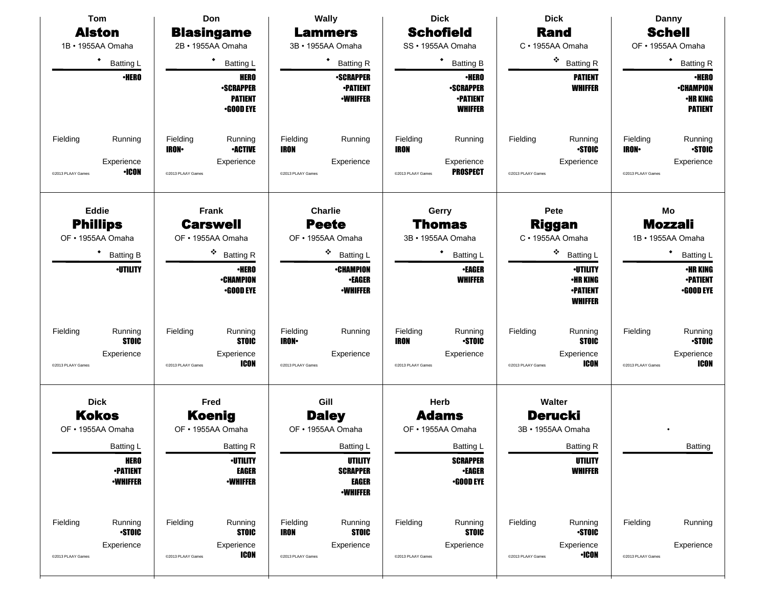| <b>Tom</b>                                                             | Don                                                                                       | <b>Wally</b>                                                                          | <b>Dick</b>                                                                       | <b>Dick</b>                                                                            | Danny                                                                                   |  |
|------------------------------------------------------------------------|-------------------------------------------------------------------------------------------|---------------------------------------------------------------------------------------|-----------------------------------------------------------------------------------|----------------------------------------------------------------------------------------|-----------------------------------------------------------------------------------------|--|
| <b>Alston</b>                                                          | <b>Blasingame</b>                                                                         | <b>Lammers</b>                                                                        | <b>Schofield</b>                                                                  | <b>Rand</b>                                                                            | <b>Schell</b>                                                                           |  |
| 1B · 1955AA Omaha                                                      | 2B · 1955AA Omaha                                                                         | 3B · 1955AA Omaha                                                                     | SS · 1955AA Omaha                                                                 | C · 1955AA Omaha                                                                       | OF · 1955AA Omaha                                                                       |  |
| ٠<br><b>Batting L</b>                                                  | ٠<br>Batting L                                                                            | ٠<br><b>Batting R</b>                                                                 | ٠<br><b>Batting B</b>                                                             | ۰<br><b>Batting R</b>                                                                  | ٠<br><b>Batting R</b>                                                                   |  |
| <b>•HERO</b>                                                           | <b>HERO</b><br><b>-SCRAPPER</b><br><b>PATIENT</b><br><b>•GOOD EYE</b>                     | <b>•SCRAPPER</b><br><b>-PATIENT</b><br><b>-WHIFFER</b>                                | <b>•HERO</b><br><b>-SCRAPPER</b><br><b>•PATIENT</b><br><b>WHIFFER</b>             | <b>PATIENT</b><br><b>WHIFFER</b>                                                       | <b>•HERO</b><br><b>•CHAMPION</b><br><b>•HR KING</b><br><b>PATIENT</b>                   |  |
| Fielding<br>Running<br>Experience<br><b>•ICON</b><br>@2013 PLAAY Games | Fielding<br>Running<br><b>•ACTIVE</b><br><b>IRON</b> •<br>Experience<br>@2013 PLAAY Games | Fielding<br>Running<br><b>IRON</b><br>Experience<br>@2013 PLAAY Games                 | Fielding<br>Running<br>IRON<br>Experience<br><b>PROSPECT</b><br>@2013 PLAAY Games | Fielding<br>Running<br><b>STOIC</b><br>Experience<br>@2013 PLAAY Games                 | Fielding<br>Running<br><b>STOIC</b><br><b>IRON</b> •<br>Experience<br>@2013 PLAAY Games |  |
| <b>Eddie</b><br><b>Phillips</b><br>OF • 1955AA Omaha                   | <b>Frank</b><br><b>Carswell</b><br>OF • 1955AA Omaha                                      | <b>Charlie</b><br><b>Peete</b><br>OF · 1955AA Omaha                                   | Gerry<br>Thomas<br>3B · 1955AA Omaha                                              | Pete<br><b>Riggan</b><br>C · 1955AA Omaha                                              | Mo<br><b>Mozzali</b><br>1B · 1955AA Omaha                                               |  |
| ٠<br><b>Batting B</b>                                                  | ۰<br><b>Batting R</b>                                                                     | ❖<br><b>Batting L</b>                                                                 | ٠<br>Batting L                                                                    | ۰<br><b>Batting L</b>                                                                  | ٠<br><b>Batting L</b>                                                                   |  |
| <b><i>•UTILITY</i></b>                                                 | <b>•HERO</b><br><b>-CHAMPION</b><br><b>•GOOD EYE</b>                                      | <b>•CHAMPION</b><br><b>•EAGER</b><br><b>•WHIFFER</b>                                  | <b>•EAGER</b><br><b>WHIFFER</b>                                                   | <b>·UTILITY</b><br>•HR KING<br><b>-PATIENT</b><br><b>WHIFFER</b>                       | <b>·HR KING</b><br><b>-PATIENT</b><br><b>•GOOD EYE</b>                                  |  |
| Fielding<br>Running<br><b>STOIC</b><br>Experience<br>@2013 PLAAY Games | Fielding<br>Running<br><b>STOIC</b><br>Experience<br><b>ICON</b><br>@2013 PLAAY Games     | Fielding<br>Running<br><b>IRON-</b><br>Experience<br>@2013 PLAAY Games                | Fielding<br>Running<br><b>STOIC</b><br>IRON<br>Experience<br>@2013 PLAAY Games    | Fielding<br>Running<br><b>STOIC</b><br>Experience<br><b>ICON</b><br>@2013 PLAAY Games  | Fielding<br>Running<br><b>STOIC</b><br>Experience<br><b>ICON</b><br>@2013 PLAAY Games   |  |
| <b>Dick</b><br><b>Kokos</b><br>OF • 1955AA Omaha                       | Fred<br><b>Koenig</b><br>OF • 1955AA Omaha                                                | Gill<br><b>Daley</b><br>OF • 1955AA Omaha                                             | Herb<br><b>Adams</b><br>OF • 1955AA Omaha                                         | Walter<br><b>Derucki</b><br>3B · 1955AA Omaha                                          |                                                                                         |  |
| <b>Batting L</b><br><b>HERO</b><br><b>-PATIENT</b><br><b>-WHIFFER</b>  | <b>Batting R</b><br><b>·UTILITY</b><br><b>EAGER</b><br><b>-WHIFFER</b>                    | <b>Batting L</b><br>UTILITY<br><b>SCRAPPER</b><br><b>EAGER</b><br><b>•WHIFFER</b>     | <b>Batting L</b><br><b>SCRAPPER</b><br><b>•EAGER</b><br><b>•GOOD EYE</b>          | <b>Batting R</b><br><b>UTILITY</b><br><b>WHIFFER</b>                                   | Batting                                                                                 |  |
| Fielding<br>Running<br><b>STOIC</b><br>Experience<br>@2013 PLAAY Games | Fielding<br>Running<br><b>STOIC</b><br>Experience<br><b>ICON</b><br>@2013 PLAAY Games     | Fielding<br>Running<br><b>STOIC</b><br><b>IRON</b><br>Experience<br>@2013 PLAAY Games | Fielding<br>Running<br><b>STOIC</b><br>Experience<br>@2013 PLAAY Games            | Fielding<br>Running<br><b>STOIC</b><br>Experience<br>$\cdot$ ICON<br>@2013 PLAAY Games | Fielding<br>Running<br>Experience<br>@2013 PLAAY Games                                  |  |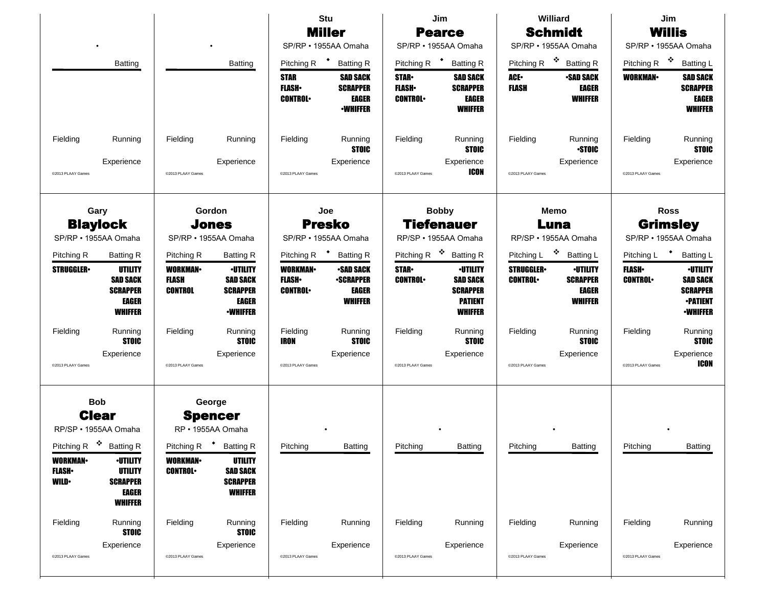|                                                                                                                                                                                                               |                                                                                                                                                                                 | <b>Stu</b><br><b>Miller</b><br>SP/RP · 1955AA Omaha                                                                                                                              | Jim<br><b>Pearce</b><br>SP/RP · 1955AA Omaha                                                                                                                                               | Williard<br><b>Schmidt</b><br>SP/RP · 1955AA Omaha                                                                                    | Jim<br><b>Willis</b><br>SP/RP · 1955AA Omaha                                                                                                                    |  |
|---------------------------------------------------------------------------------------------------------------------------------------------------------------------------------------------------------------|---------------------------------------------------------------------------------------------------------------------------------------------------------------------------------|----------------------------------------------------------------------------------------------------------------------------------------------------------------------------------|--------------------------------------------------------------------------------------------------------------------------------------------------------------------------------------------|---------------------------------------------------------------------------------------------------------------------------------------|-----------------------------------------------------------------------------------------------------------------------------------------------------------------|--|
| <b>Batting</b>                                                                                                                                                                                                | <b>Batting</b>                                                                                                                                                                  | $\ddot{\phantom{1}}$<br>Pitching R<br><b>Batting R</b><br><b>STAR</b><br><b>SAD SACK</b><br><b>FLASH</b><br><b>SCRAPPER</b><br><b>CONTROL</b><br><b>EAGER</b><br><b>-WHIFFER</b> | Pitching R <sup>+</sup><br><b>Batting R</b><br><b>STAR</b><br><b>SAD SACK</b><br><b>FLASH</b><br><b>SCRAPPER</b><br><b>CONTROL</b><br><b>EAGER</b><br><b>WHIFFER</b>                       | 樂<br>Pitching R<br><b>Batting R</b><br>ACE.<br><b>-SAD SACK</b><br><b>FLASH</b><br>EAGER<br><b>WHIFFER</b>                            | 豪<br>Pitching R<br><b>Batting L</b><br><b>SAD SACK</b><br><b>WORKMAN</b><br><b>SCRAPPER</b><br><b>EAGER</b><br><b>WHIFFER</b>                                   |  |
| Fielding<br>Running<br>Experience<br>@2013 PLAAY Games                                                                                                                                                        | Fielding<br>Running<br>Experience<br>@2013 PLAAY Games                                                                                                                          | Fielding<br>Running<br><b>STOIC</b><br>Experience<br>@2013 PLAAY Games                                                                                                           | Fielding<br>Running<br><b>STOIC</b><br>Experience<br>ICON<br>@2013 PLAAY Games                                                                                                             | Fielding<br>Running<br><b>STOIC</b><br>Experience<br>@2013 PLAAY Games                                                                | Fielding<br>Running<br><b>STOIC</b><br>Experience<br>@2013 PLAAY Games                                                                                          |  |
| Gary<br><b>Blaylock</b><br>SP/RP · 1955AA Omaha                                                                                                                                                               | Gordon<br>Jones<br>SP/RP · 1955AA Omaha                                                                                                                                         |                                                                                                                                                                                  | <b>Bobby</b><br><b>Tiefenauer</b><br>RP/SP · 1955AA Omaha                                                                                                                                  | Memo<br>Luna<br>RP/SP · 1955AA Omaha                                                                                                  | <b>Ross</b><br><b>Grimsley</b><br>SP/RP · 1955AA Omaha                                                                                                          |  |
| Pitching R<br><b>Batting R</b><br><b>STRUGGLER</b><br>UTILITY<br><b>SAD SACK</b><br><b>SCRAPPER</b><br>EAGER<br><b>WHIFFER</b>                                                                                | Pitching R<br><b>Batting R</b><br><b>WORKMAN-</b><br><b>·UTILITY</b><br><b>FLASH</b><br><b>SAD SACK</b><br><b>CONTROL</b><br><b>SCRAPPER</b><br><b>EAGER</b><br><b>-WHIFFER</b> | Pitching R <sup>+</sup><br><b>Batting R</b><br><b>WORKMAN</b><br><b>•SAD SACK</b><br><b>-SCRAPPER</b><br><b>FLASH</b><br><b>EAGER</b><br><b>CONTROL</b><br><b>WHIFFER</b>        | Pitching R <sup><math>\cdot</math></sup><br><b>Batting R</b><br><b>·UTILITY</b><br><b>STAR</b><br><b>CONTROL</b><br><b>SAD SACK</b><br><b>SCRAPPER</b><br><b>PATIENT</b><br><b>WHIFFER</b> | Pitching L<br><b>Batting L</b><br><b>STRUGGLER</b><br><b>-UTILITY</b><br><b>CONTROL</b><br><b>SCRAPPER</b><br>EAGER<br><b>WHIFFER</b> | <b>Batting L</b><br>Pitching L<br><b>FLASH</b><br><b>-UTILITY</b><br><b>CONTROL</b><br><b>SAD SACK</b><br><b>SCRAPPER</b><br><b>•PATIENT</b><br><b>-WHIFFER</b> |  |
| Fielding<br>Running<br><b>STOIC</b><br>Experience<br>@2013 PLAAY Games                                                                                                                                        | Fielding<br>Running<br><b>STOIC</b><br>Experience<br>@2013 PLAAY Games                                                                                                          | Fielding<br>Running<br><b>STOIC</b><br><b>IRON</b><br>Experience<br>@2013 PLAAY Games                                                                                            | Fielding<br>Running<br><b>STOIC</b><br>Experience<br>@2013 PLAAY Games                                                                                                                     | Fielding<br>Running<br><b>STOIC</b><br>Experience<br>@2013 PLAAY Games                                                                | Fielding<br>Running<br><b>STOIC</b><br>Experience<br><b>ICON</b><br>@2013 PLAAY Games                                                                           |  |
| <b>Bob</b><br><b>Clear</b><br>RP/SP · 1955AA Omaha<br><b>ANGER</b><br>Pitching R<br><b>Batting R</b><br><b>WORKMAN</b><br><b>·UTILITY</b><br><b>FLASH</b><br><b>UTILITY</b><br><b>WILD</b><br><b>SCRAPPER</b> | George<br><b>Spencer</b><br>RP · 1955AA Omaha<br>Pitching R<br><b>Batting R</b><br><b>WORKMAN</b><br>UTILITY<br><b>SAD SACK</b><br><b>CONTROL</b><br><b>SCRAPPER</b>            | Pitching<br>Batting                                                                                                                                                              | Pitching<br>Batting                                                                                                                                                                        | Pitching<br>Batting                                                                                                                   | Pitching<br>Batting                                                                                                                                             |  |
| <b>EAGER</b><br><b>WHIFFER</b><br>Fielding<br>Running<br><b>STOIC</b><br>Experience<br>@2013 PLAAY Games                                                                                                      | <b>WHIFFER</b><br>Fielding<br>Running<br><b>STOIC</b><br>Experience<br>@2013 PLAAY Games                                                                                        | Fielding<br>Running<br>Experience<br>@2013 PLAAY Games                                                                                                                           | Fielding<br>Running<br>Experience<br>@2013 PLAAY Games                                                                                                                                     | Fielding<br>Running<br>Experience<br>@2013 PLAAY Games                                                                                | Fielding<br>Running<br>Experience<br>@2013 PLAAY Games                                                                                                          |  |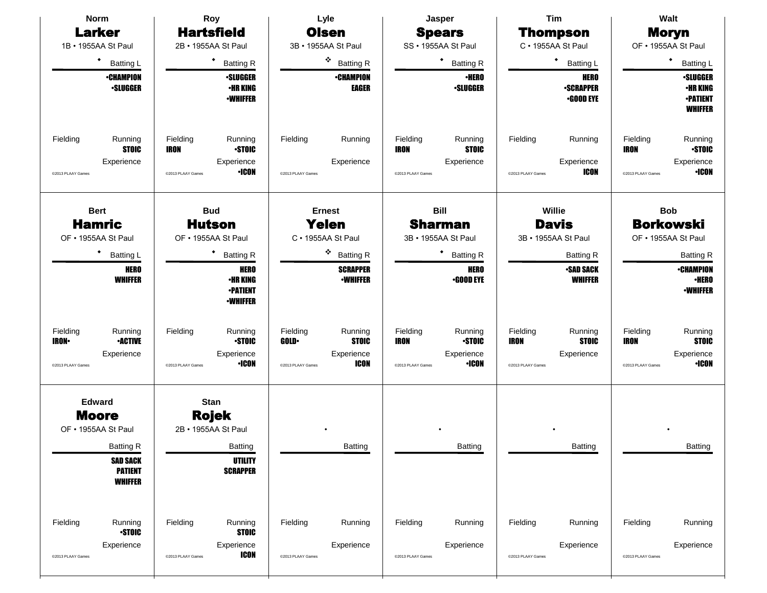| <b>Norm</b>                                                                                                                     | Roy                                                                                                       | Tim<br>Lyle<br>Jasper                                                                         |                                                                                                       | Walt                                                                                  |                                                                                                       |  |  |
|---------------------------------------------------------------------------------------------------------------------------------|-----------------------------------------------------------------------------------------------------------|-----------------------------------------------------------------------------------------------|-------------------------------------------------------------------------------------------------------|---------------------------------------------------------------------------------------|-------------------------------------------------------------------------------------------------------|--|--|
| <b>Larker</b>                                                                                                                   | <b>Hartsfield</b>                                                                                         | <b>Olsen</b>                                                                                  | <b>Spears</b>                                                                                         | Thompson                                                                              | <b>Moryn</b>                                                                                          |  |  |
| 1B • 1955AA St Paul                                                                                                             | 2B · 1955AA St Paul                                                                                       | 3B · 1955AA St Paul                                                                           | SS · 1955AA St Paul                                                                                   | C · 1955AA St Paul                                                                    | OF • 1955AA St Paul                                                                                   |  |  |
| ٠<br><b>Batting L</b>                                                                                                           | ٠<br><b>Batting R</b>                                                                                     | ※<br><b>Batting R</b>                                                                         | ٠<br><b>Batting R</b>                                                                                 | $\bullet$<br><b>Batting L</b>                                                         | ٠<br>Batting L                                                                                        |  |  |
| <b>•CHAMPION</b><br><b>·SLUGGER</b>                                                                                             | <b>·SLUGGER</b><br><b>•HR KING</b><br><b>-WHIFFER</b>                                                     | <b>•CHAMPION</b><br><b>EAGER</b>                                                              | <b>•HERO</b><br><b>·SLUGGER</b>                                                                       | <b>HERO</b><br><b>-SCRAPPER</b><br><b>•GOOD EYE</b>                                   | <b>•SLUGGER</b><br><b>•HR KING</b><br><b>-PATIENT</b><br><b>WHIFFER</b>                               |  |  |
| Fielding<br>Running<br><b>STOIC</b><br>Experience<br>@2013 PLAAY Games                                                          | Fielding<br>Running<br><b>STOIC</b><br><b>IRON</b><br>Experience<br><b>•ICON</b><br>@2013 PLAAY Games     | Fielding<br>Running<br>Experience<br>@2013 PLAAY Games                                        | Fielding<br>Running<br><b>STOIC</b><br>IRON<br>Experience<br>@2013 PLAAY Games                        | Fielding<br>Running<br>Experience<br><b>ICON</b><br>@2013 PLAAY Games                 | Fielding<br>Running<br><b>STOIC</b><br><b>IRON</b><br>Experience<br><b>·ICON</b><br>@2013 PLAAY Games |  |  |
| <b>Bert</b>                                                                                                                     | <b>Bud</b>                                                                                                | <b>Ernest</b>                                                                                 | <b>Bill</b>                                                                                           | Willie                                                                                | <b>Bob</b>                                                                                            |  |  |
| <b>Hamric</b>                                                                                                                   | <b>Hutson</b>                                                                                             | <b>Yelen</b>                                                                                  | <b>Sharman</b>                                                                                        | <b>Borkowski</b><br><b>Davis</b>                                                      |                                                                                                       |  |  |
| OF • 1955AA St Paul                                                                                                             | OF • 1955AA St Paul                                                                                       | C · 1955AA St Paul                                                                            | 3B • 1955AA St Paul                                                                                   | 3B · 1955AA St Paul                                                                   | OF • 1955AA St Paul                                                                                   |  |  |
| ٠<br><b>Batting L</b>                                                                                                           | ٠<br><b>Batting R</b>                                                                                     | ۰<br><b>Batting R</b>                                                                         | <b>Batting R</b>                                                                                      | <b>Batting R</b>                                                                      | <b>Batting R</b>                                                                                      |  |  |
| <b>HERO</b><br><b>WHIFFER</b>                                                                                                   | <b>HERO</b><br><b>•HR KING</b><br><b>-PATIENT</b><br><b>-WHIFFER</b>                                      | <b>SCRAPPER</b><br><b>•WHIFFER</b>                                                            | <b>HERO</b><br><b>.GOOD EYE</b>                                                                       | <b>SAD SACK</b><br><b>WHIFFER</b>                                                     | <b>-CHAMPION</b><br><b>·HERO</b><br><b>•WHIFFER</b>                                                   |  |  |
| Fielding<br>Running<br><b>•ACTIVE</b><br><b>IRON</b> •<br>Experience<br>@2013 PLAAY Games                                       | Fielding<br>Running<br><b>STOIC</b><br>Experience<br><b>•ICON</b><br>@2013 PLAAY Games                    | Fielding<br>Running<br><b>STOIC</b><br><b>GOLD</b><br>Experience<br>ICON<br>@2013 PLAAY Games | Fielding<br>Running<br><b>STOIC</b><br><b>IRON</b><br>Experience<br><b>·ICON</b><br>@2013 PLAAY Games | Fielding<br>Running<br><b>STOIC</b><br><b>IRON</b><br>Experience<br>@2013 PLAAY Games | Fielding<br>Running<br><b>STOIC</b><br><b>IRON</b><br>Experience<br>$\cdot$ ICON<br>@2013 PLAAY Games |  |  |
| <b>Edward</b><br><b>Moore</b><br>OF • 1955AA St Paul<br><b>Batting R</b><br><b>SAD SACK</b><br><b>PATIENT</b><br><b>WHIFFER</b> | <b>Stan</b><br><b>Rojek</b><br>2B · 1955AA St Paul<br><b>Batting</b><br><b>UTILITY</b><br><b>SCRAPPER</b> | Batting                                                                                       | Batting                                                                                               | Batting                                                                               | Batting                                                                                               |  |  |
| Fielding<br>Running<br><b>STOIC</b><br>Experience<br>@2013 PLAAY Games                                                          | Fielding<br>Running<br><b>STOIC</b><br>Experience<br><b>ICON</b><br>@2013 PLAAY Games                     | Fielding<br>Running<br>Experience<br>@2013 PLAAY Games                                        | Fielding<br>Running<br>Experience<br>@2013 PLAAY Games                                                | Fielding<br>Running<br>Experience<br>@2013 PLAAY Games                                | Fielding<br>Running<br>Experience<br>@2013 PLAAY Games                                                |  |  |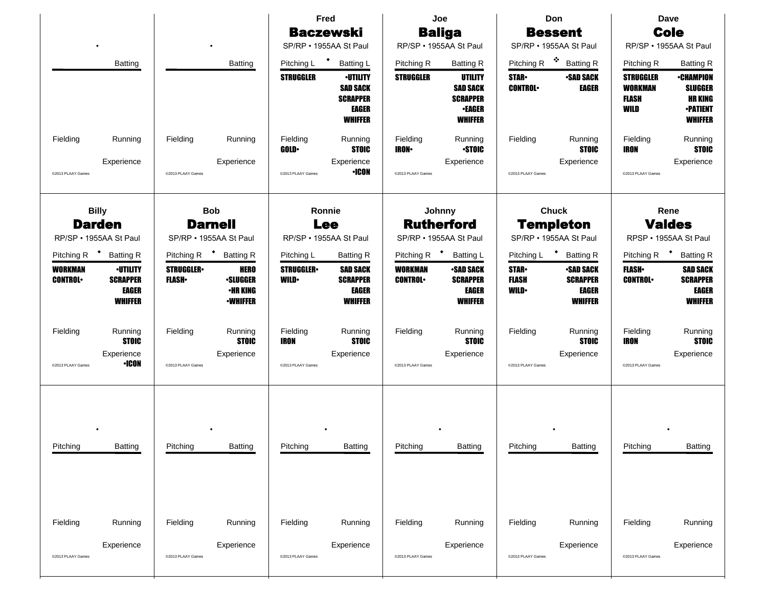|                                  |                                                               |                                  |                                                                      | Joe<br>Fred                                                                   |                                                                                         | Don                              |                                                                                  | <b>Dave</b>                                                |                                                                |                                                            |                                                                                           |
|----------------------------------|---------------------------------------------------------------|----------------------------------|----------------------------------------------------------------------|-------------------------------------------------------------------------------|-----------------------------------------------------------------------------------------|----------------------------------|----------------------------------------------------------------------------------|------------------------------------------------------------|----------------------------------------------------------------|------------------------------------------------------------|-------------------------------------------------------------------------------------------|
|                                  |                                                               |                                  |                                                                      |                                                                               | <b>Baczewski</b>                                                                        |                                  | <b>Baliga</b>                                                                    |                                                            | <b>Bessent</b>                                                 |                                                            | <b>Cole</b>                                                                               |
|                                  |                                                               |                                  |                                                                      |                                                                               | SP/RP • 1955AA St Paul                                                                  |                                  | RP/SP · 1955AA St Paul                                                           |                                                            | SP/RP · 1955AA St Paul                                         |                                                            | RP/SP · 1955AA St Paul                                                                    |
|                                  | Batting                                                       |                                  | <b>Batting</b>                                                       | Pitching L                                                                    | $\ddot{\phantom{1}}$<br><b>Batting L</b>                                                | Pitching R                       | <b>Batting R</b>                                                                 | Pitching R                                                 | 交易<br><b>Batting R</b>                                         | Pitching R                                                 | <b>Batting R</b>                                                                          |
|                                  |                                                               |                                  |                                                                      | <b>STRUGGLER</b>                                                              | <b>-UTILITY</b><br><b>SAD SACK</b><br><b>SCRAPPER</b><br><b>EAGER</b><br><b>WHIFFER</b> | <b>STRUGGLER</b>                 | UTILITY<br><b>SAD SACK</b><br><b>SCRAPPER</b><br><b>•EAGER</b><br><b>WHIFFER</b> | <b>STAR</b><br><b>CONTROL</b>                              | <b>-SAD SACK</b><br>EAGER                                      | <b>STRUGGLER</b><br><b>WORKMAN</b><br><b>FLASH</b><br>WILD | <b>•CHAMPION</b><br><b>SLUGGER</b><br><b>HR KING</b><br><b>•PATIENT</b><br><b>WHIFFER</b> |
| Fielding                         | Running                                                       | Fielding                         | Running                                                              | Fielding<br><b>GOLD</b>                                                       | Running<br><b>STOIC</b>                                                                 | Fielding<br><b>IRON</b>          | Running<br><b>STOIC</b>                                                          | Fielding                                                   | Running<br><b>STOIC</b>                                        | Fielding<br><b>IRON</b>                                    | Running<br><b>STOIC</b>                                                                   |
| @2013 PLAAY Games                | Experience                                                    | @2013 PLAAY Games                | Experience                                                           | @2013 PLAAY Games                                                             | Experience<br>∙ICON                                                                     | @2013 PLAAY Games                | Experience                                                                       | @2013 PLAAY Games                                          | Experience                                                     | @2013 PLAAY Games                                          | Experience                                                                                |
|                                  | <b>Billy</b><br><b>Darden</b><br>RP/SP · 1955AA St Paul       |                                  | <b>Bob</b><br><b>Darnell</b><br>SP/RP · 1955AA St Paul               | Ronnie<br>Johnny<br><b>Rutherford</b><br><b>Lee</b><br>RP/SP · 1955AA St Paul |                                                                                         | SP/RP . 1955AA St Paul           |                                                                                  | <b>Chuck</b><br><b>Templeton</b><br>SP/RP · 1955AA St Paul |                                                                | Rene<br><b>Valdes</b><br>RPSP · 1955AA St Paul             |                                                                                           |
| Pitching R <sup>+</sup>          | <b>Batting R</b>                                              | Pitching R                       | <b>Batting R</b>                                                     | Pitching L                                                                    | <b>Batting R</b>                                                                        | Pitching R <sup>+</sup>          | <b>Batting L</b>                                                                 | Pitching L                                                 | $\ddot{\phantom{1}}$<br><b>Batting R</b>                       | Pitching R <sup>+</sup>                                    | <b>Batting R</b>                                                                          |
| <b>WORKMAN</b><br><b>CONTROL</b> | <b>-UTILITY</b><br><b>SCRAPPER</b><br>EAGER<br><b>WHIFFER</b> | <b>STRUGGLER</b><br><b>FLASH</b> | <b>HERO</b><br><b>·SLUGGER</b><br><b>•HR KING</b><br><b>•WHIFFER</b> | <b>STRUGGLER</b><br><b>WILD</b>                                               | <b>SAD SACK</b><br><b>SCRAPPER</b><br><b>EAGER</b><br><b>WHIFFER</b>                    | <b>WORKMAN</b><br><b>CONTROL</b> | <b>SAD SACK</b><br><b>SCRAPPER</b><br><b>EAGER</b><br><b>WHIFFER</b>             | <b>STAR-</b><br><b>FLASH</b><br><b>WILD</b>                | <b>•SAD SACK</b><br><b>SCRAPPER</b><br>EAGER<br><b>WHIFFER</b> | <b>FLASH</b><br><b>CONTROL</b>                             | <b>SAD SACK</b><br><b>SCRAPPER</b><br><b>EAGER</b><br><b>WHIFFER</b>                      |
| Fielding<br>@2013 PLAAY Games    | Running<br><b>STOIC</b><br>Experience<br>$\cdot$ ICON         | Fielding<br>@2013 PLAAY Games    | Running<br><b>STOIC</b><br>Experience                                | Fielding<br>IRON<br>@2013 PLAAY Games                                         | Running<br><b>STOIC</b><br>Experience                                                   | Fielding<br>@2013 PLAAY Games    | Running<br><b>STOIC</b><br>Experience                                            | Fielding<br>@2013 PLAAY Games                              | Running<br><b>STOIC</b><br>Experience                          | Fielding<br><b>IRON</b><br>@2013 PLAAY Games               | Running<br><b>STOIC</b><br>Experience                                                     |
| Pitching                         | Batting                                                       | Pitching                         | <b>Batting</b>                                                       | Pitching                                                                      | Batting                                                                                 | Pitching                         | Batting                                                                          | Pitching                                                   | <b>Batting</b>                                                 | Pitching                                                   | Batting                                                                                   |
| Fielding                         | Running                                                       | Fielding                         | Running                                                              | Fielding                                                                      | Running                                                                                 | Fielding                         | Running                                                                          | Fielding                                                   | Running                                                        | Fielding                                                   | Running                                                                                   |
| @2013 PLAAY Games                | Experience                                                    | @2013 PLAAY Games                | Experience                                                           | @2013 PLAAY Games                                                             | Experience                                                                              | @2013 PLAAY Games                | Experience                                                                       | @2013 PLAAY Games                                          | Experience                                                     | @2013 PLAAY Games                                          | Experience                                                                                |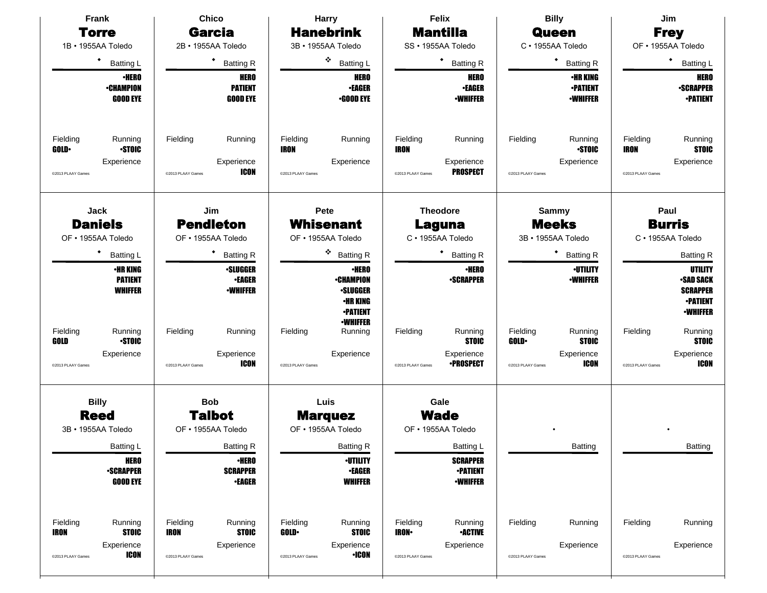| Frank                                                                                                | <b>Chico</b>                                                                          | <b>Harry</b>                                                                                    | Felix                                                                                      | <b>Billy</b>                                                                                         | Jim                                                                                   |  |  |
|------------------------------------------------------------------------------------------------------|---------------------------------------------------------------------------------------|-------------------------------------------------------------------------------------------------|--------------------------------------------------------------------------------------------|------------------------------------------------------------------------------------------------------|---------------------------------------------------------------------------------------|--|--|
| <b>Torre</b>                                                                                         | <b>Garcia</b>                                                                         | <b>Hanebrink</b>                                                                                | <b>Mantilla</b>                                                                            | <b>Queen</b>                                                                                         | <b>Frey</b>                                                                           |  |  |
| 1B · 1955AA Toledo                                                                                   | 2B · 1955AA Toledo                                                                    | 3B · 1955AA Toledo                                                                              | SS · 1955AA Toledo                                                                         | C · 1955AA Toledo                                                                                    | OF • 1955AA Toledo                                                                    |  |  |
| $\bullet$<br><b>Batting L</b>                                                                        | ٠<br><b>Batting R</b>                                                                 | ۰<br><b>Batting L</b>                                                                           | ٠<br><b>Batting R</b>                                                                      | ٠<br><b>Batting R</b>                                                                                | ٠<br><b>Batting L</b>                                                                 |  |  |
| <b>•HERO</b><br><b>-CHAMPION</b><br><b>GOOD EYE</b>                                                  | <b>HERO</b><br><b>PATIENT</b><br><b>GOOD EYE</b>                                      | <b>HERO</b><br><b>•EAGER</b><br><b>•GOOD EYE</b>                                                | <b>HERO</b><br><b>•EAGER</b><br><b>-WHIFFER</b>                                            | <b>•HR KING</b><br><b>-PATIENT</b><br><b>•WHIFFER</b>                                                | <b>HERO</b><br><b>•SCRAPPER</b><br><b>•PATIENT</b>                                    |  |  |
| Fielding<br>Running<br><b>STOIC</b><br><b>GOLD</b><br>Experience<br>@2013 PLAAY Games                | Fielding<br>Running<br>Experience<br><b>ICON</b><br>@2013 PLAAY Games                 | Fielding<br>Running<br><b>IRON</b><br>Experience<br>@2013 PLAAY Games                           | Fielding<br>Running<br><b>IRON</b><br>Experience<br><b>PROSPECT</b><br>@2013 PLAAY Games   | Fielding<br>Running<br><b>STOIC</b><br>Experience<br>@2013 PLAAY Games                               | Running<br>Fielding<br><b>STOIC</b><br><b>IRON</b><br>Experience<br>@2013 PLAAY Games |  |  |
| <b>Jack</b><br><b>Daniels</b>                                                                        | Jim<br><b>Pendleton</b>                                                               | Pete<br>Whisenant                                                                               | <b>Theodore</b><br>Laguna                                                                  | <b>Sammy</b><br><b>Meeks</b>                                                                         | Paul<br><b>Burris</b>                                                                 |  |  |
| OF • 1955AA Toledo                                                                                   | OF · 1955AA Toledo                                                                    | OF • 1955AA Toledo                                                                              | C · 1955AA Toledo                                                                          | 3B · 1955AA Toledo                                                                                   | C · 1955AA Toledo                                                                     |  |  |
| $\bullet$<br><b>Batting L</b>                                                                        | <b>Batting R</b>                                                                      | ۰<br><b>Batting R</b>                                                                           | <b>Batting R</b>                                                                           | ٠<br><b>Batting R</b>                                                                                | <b>Batting R</b>                                                                      |  |  |
| <b>•HR KING</b><br><b>PATIENT</b><br><b>WHIFFER</b>                                                  | <b>·SLUGGER</b><br><b>•EAGER</b><br><b>-WHIFFER</b>                                   | <b>•HERO</b><br><b>-CHAMPION</b><br><b>•SLUGGER</b><br><b>•HR KING</b><br><b>-PATIENT</b>       | <b>•HERO</b><br><b>-SCRAPPER</b>                                                           | <b>-UTILITY</b><br><b>-WHIFFER</b>                                                                   | UTILITY<br><b>SAD SACK</b><br><b>SCRAPPER</b><br><b>•PATIENT</b><br><b>-WHIFFER</b>   |  |  |
| Fielding<br>Running<br><b>STOIC</b><br>GOLD<br>Experience<br>@2013 PLAAY Games                       | Fielding<br>Running<br>Experience<br><b>ICON</b><br>@2013 PLAAY Games                 | <b>-WHIFFER</b><br>Fielding<br>Running<br>Experience<br>@2013 PLAAY Games                       | Fielding<br>Running<br><b>STOIC</b><br>Experience<br><b>•PROSPECT</b><br>@2013 PLAAY Games | Fielding<br>Running<br><b>STOIC</b><br><b>GOLD</b><br>Experience<br><b>ICON</b><br>@2013 PLAAY Games | Fielding<br>Running<br><b>STOIC</b><br>Experience<br><b>ICON</b><br>@2013 PLAAY Games |  |  |
| <b>Billy</b><br><b>Reed</b><br>3B · 1955AA Toledo                                                    | <b>Bob</b><br><b>Talbot</b><br>OF • 1955AA Toledo                                     | Luis<br><b>Marquez</b><br>OF • 1955AA Toledo                                                    | Gale<br><b>Wade</b><br>OF • 1955AA Toledo                                                  |                                                                                                      |                                                                                       |  |  |
| <b>Batting L</b>                                                                                     | <b>Batting R</b>                                                                      | <b>Batting R</b>                                                                                | <b>Batting L</b>                                                                           | <b>Batting</b>                                                                                       | <b>Batting</b>                                                                        |  |  |
| <b>HERO</b><br><b>•SCRAPPER</b><br><b>GOOD EYE</b>                                                   | <b>•HERO</b><br><b>SCRAPPER</b><br><b>-EAGER</b>                                      | <b>-UTILITY</b><br><b>•EAGER</b><br><b>WHIFFER</b>                                              | <b>SCRAPPER</b><br><b>-PATIENT</b><br><b>-WHIFFER</b>                                      |                                                                                                      |                                                                                       |  |  |
| Fielding<br>Running<br><b>IRON</b><br><b>STOIC</b><br>Experience<br><b>ICON</b><br>@2013 PLAAY Games | Fielding<br>Running<br><b>STOIC</b><br><b>IRON</b><br>Experience<br>@2013 PLAAY Games | Fielding<br>Running<br><b>STOIC</b><br>GOLD-<br>Experience<br>$\cdot$ ICON<br>@2013 PLAAY Games | Fielding<br>Running<br><b>IRON</b><br><b>-ACTIVE</b><br>Experience<br>@2013 PLAAY Games    | Fielding<br>Running<br>Experience<br>@2013 PLAAY Games                                               | Fielding<br>Running<br>Experience<br>@2013 PLAAY Games                                |  |  |
|                                                                                                      |                                                                                       |                                                                                                 |                                                                                            |                                                                                                      |                                                                                       |  |  |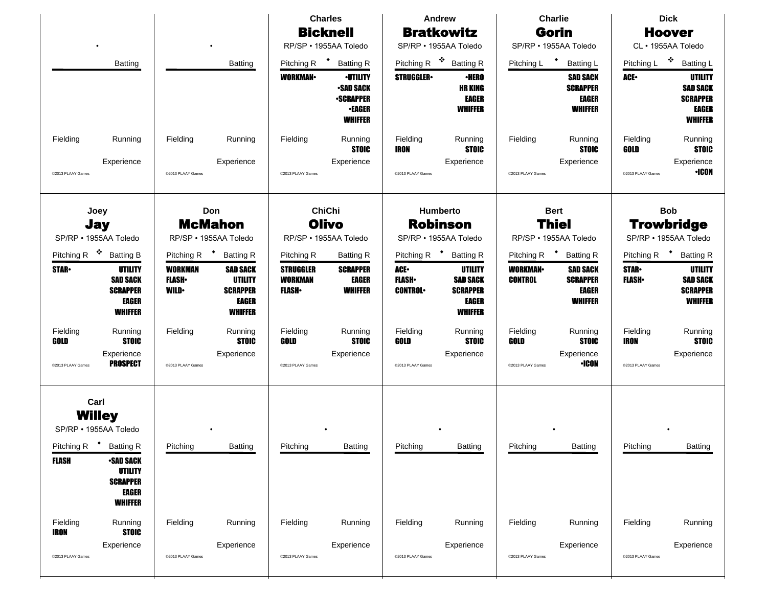|                         |                                                                                               |                                               |                                                                                 |                                                    | <b>Charles</b>                                                                             | <b>Andrew</b>                                        |                                                                                        | <b>Charlie</b>                                       |                                                                      | <b>Dick</b>                                              |                                                                                        |
|-------------------------|-----------------------------------------------------------------------------------------------|-----------------------------------------------|---------------------------------------------------------------------------------|----------------------------------------------------|--------------------------------------------------------------------------------------------|------------------------------------------------------|----------------------------------------------------------------------------------------|------------------------------------------------------|----------------------------------------------------------------------|----------------------------------------------------------|----------------------------------------------------------------------------------------|
|                         |                                                                                               |                                               |                                                                                 |                                                    | <b>Bicknell</b>                                                                            |                                                      | <b>Bratkowitz</b>                                                                      |                                                      | Gorin                                                                |                                                          | <b>Hoover</b>                                                                          |
|                         |                                                                                               |                                               |                                                                                 |                                                    | RP/SP · 1955AA Toledo                                                                      |                                                      | SP/RP · 1955AA Toledo                                                                  |                                                      | SP/RP · 1955AA Toledo                                                |                                                          | CL · 1955AA Toledo                                                                     |
|                         | <b>Batting</b>                                                                                |                                               | <b>Batting</b>                                                                  | Pitching R <sup>+</sup>                            | <b>Batting R</b>                                                                           | Pitching R <sup><math>\cdot</math></sup>             | <b>Batting R</b>                                                                       | Pitching L                                           | $\bullet$<br><b>Batting L</b>                                        | Pitching L                                               | 豪<br><b>Batting L</b>                                                                  |
|                         |                                                                                               |                                               |                                                                                 | <b>WORKMAN-</b>                                    | <b>-UTILITY</b><br><b>-SAD SACK</b><br><b>•SCRAPPER</b><br><b>-EAGER</b><br><b>WHIFFER</b> | <b>STRUGGLER</b>                                     | <b>•HERO</b><br><b>HR KING</b><br><b>EAGER</b><br><b>WHIFFER</b>                       |                                                      | <b>SAD SACK</b><br><b>SCRAPPER</b><br><b>EAGER</b><br><b>WHIFFER</b> | ACE.                                                     | <b>UTILITY</b><br><b>SAD SACK</b><br><b>SCRAPPER</b><br><b>EAGER</b><br><b>WHIFFER</b> |
| Fielding                | Running                                                                                       | Fielding                                      | Running                                                                         | Fielding                                           | Running<br><b>STOIC</b>                                                                    | Fielding<br>IRON                                     | Running<br><b>STOIC</b>                                                                | Fielding                                             | Running<br><b>STOIC</b>                                              | Fielding<br>GOLD                                         | Running<br><b>STOIC</b>                                                                |
| @2013 PLAAY Games       | Experience                                                                                    | @2013 PLAAY Games                             | Experience                                                                      | @2013 PLAAY Games                                  | Experience                                                                                 | @2013 PLAAY Games                                    | Experience                                                                             | @2013 PLAAY Games                                    | Experience                                                           | @2013 PLAAY Games                                        | Experience<br><b>+ICON</b>                                                             |
|                         | Joey<br>Don<br><b>McMahon</b><br><b>Jay</b><br>SP/RP · 1955AA Toledo<br>RP/SP · 1955AA Toledo |                                               |                                                                                 |                                                    | <b>ChiChi</b><br><b>Olivo</b><br>RP/SP · 1955AA Toledo                                     | Humberto<br><b>Robinson</b><br>SP/RP · 1955AA Toledo |                                                                                        | <b>Bert</b><br><b>Thiel</b><br>RP/SP · 1955AA Toledo |                                                                      | <b>Bob</b><br><b>Trowbridge</b><br>SP/RP · 1955AA Toledo |                                                                                        |
| Pitching R              | 豪<br><b>Batting B</b>                                                                         | Pitching R                                    | <b>Batting R</b>                                                                | Pitching R                                         | <b>Batting R</b>                                                                           | Pitching R <sup>+</sup>                              | <b>Batting R</b>                                                                       | Pitching R                                           | <b>Batting R</b>                                                     | Pitching R                                               | <b>Batting R</b>                                                                       |
| <b>STAR</b>             | UTILITY<br><b>SAD SACK</b><br><b>SCRAPPER</b><br><b>EAGER</b><br><b>WHIFFER</b>               | <b>WORKMAN</b><br><b>FLASH</b><br><b>WILD</b> | <b>SAD SACK</b><br>UTILITY<br><b>SCRAPPER</b><br><b>EAGER</b><br><b>WHIFFER</b> | <b>STRUGGLER</b><br><b>WORKMAN</b><br><b>FLASH</b> | <b>SCRAPPER</b><br><b>EAGER</b><br><b>WHIFFER</b>                                          | ACE.<br><b>FLASH</b><br><b>CONTROL</b>               | <b>UTILITY</b><br><b>SAD SACK</b><br><b>SCRAPPER</b><br><b>EAGER</b><br><b>WHIFFER</b> | <b>WORKMAN</b><br><b>CONTROL</b>                     | <b>SAD SACK</b><br><b>SCRAPPER</b><br><b>EAGER</b><br><b>WHIFFER</b> | <b>STAR-</b><br><b>FLASH</b>                             | <b>UTILITY</b><br><b>SAD SACK</b><br><b>SCRAPPER</b><br><b>WHIFFER</b>                 |
| Fielding<br>GOLD        | Running<br><b>STOIC</b>                                                                       | Fielding                                      | Running<br><b>STOIC</b>                                                         | Fielding<br>GOLD                                   | Running<br><b>STOIC</b>                                                                    | Fielding<br>GOLD                                     | Running<br><b>STOIC</b>                                                                | Fielding<br>GOLD                                     | Running<br><b>STOIC</b>                                              | Fielding<br><b>IRON</b>                                  | Running<br><b>STOIC</b>                                                                |
| @2013 PLAAY Games       | Experience<br><b>PROSPECT</b>                                                                 | @2013 PLAAY Games                             | Experience                                                                      | @2013 PLAAY Games                                  | Experience                                                                                 | @2013 PLAAY Games                                    | Experience                                                                             | @2013 PLAAY Games                                    | Experience<br><b>·ICON</b>                                           | @2013 PLAAY Games                                        | Experience                                                                             |
| Carl                    | <b>Willey</b><br>SP/RP · 1955AA Toledo<br>Pitching R <sup>+</sup> Batting R                   | Pitching                                      | <b>Batting</b>                                                                  | Pitching                                           | <b>Batting</b>                                                                             | Pitching                                             | <b>Batting</b>                                                                         | Pitching                                             | <b>Batting</b>                                                       | Pitching                                                 | <b>Batting</b>                                                                         |
| <b>FLASH</b>            | <b>-SAD SACK</b><br><b>UTILITY</b><br><b>SCRAPPER</b><br><b>EAGER</b><br><b>WHIFFER</b>       |                                               |                                                                                 |                                                    |                                                                                            |                                                      |                                                                                        |                                                      |                                                                      |                                                          |                                                                                        |
| Fielding<br><b>IRON</b> | Running<br><b>STOIC</b>                                                                       | Fielding                                      | Running                                                                         | Fielding                                           | Running                                                                                    | Fielding                                             | Running                                                                                | Fielding                                             | Running                                                              | Fielding                                                 | Running                                                                                |
| @2013 PLAAY Games       | Experience                                                                                    | @2013 PLAAY Games                             | Experience                                                                      | @2013 PLAAY Games                                  | Experience                                                                                 | @2013 PLAAY Games                                    | Experience                                                                             | @2013 PLAAY Games                                    | Experience                                                           | @2013 PLAAY Games                                        | Experience                                                                             |